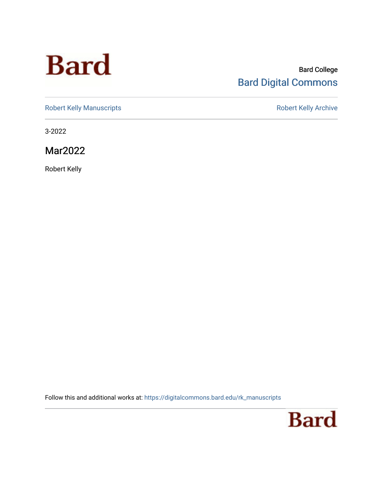# **Bard**

#### Bard College [Bard Digital Commons](https://digitalcommons.bard.edu/)

[Robert Kelly Manuscripts](https://digitalcommons.bard.edu/rk_manuscripts) **Robert Kelly Archive** 

3-2022

Mar2022

Robert Kelly

Follow this and additional works at: [https://digitalcommons.bard.edu/rk\\_manuscripts](https://digitalcommons.bard.edu/rk_manuscripts?utm_source=digitalcommons.bard.edu%2Frk_manuscripts%2F1471&utm_medium=PDF&utm_campaign=PDFCoverPages) 

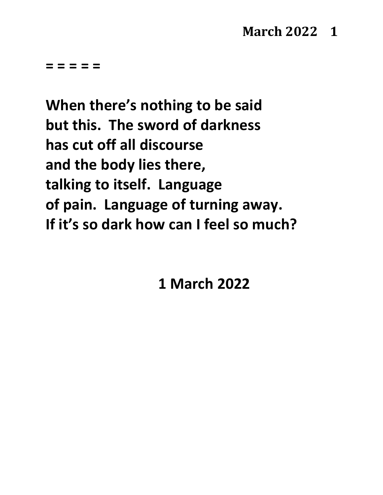## **March 2022 1**

**= = = = =**

**When there's nothing to be said but this. The sword of darkness has cut off all discourse and the body lies there, talking to itself. Language of pain. Language of turning away. If it's so dark how can I feel so much?**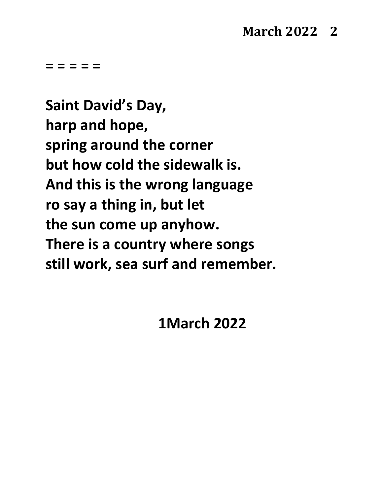**Saint David's Day, harp and hope, spring around the corner but how cold the sidewalk is. And this is the wrong language ro say a thing in, but let the sun come up anyhow. There is a country where songs still work, sea surf and remember.**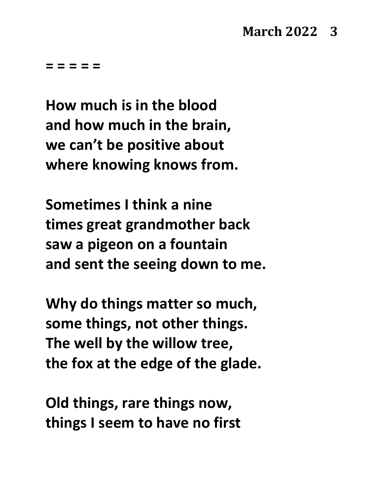**How much is in the blood and how much in the brain, we can't be positive about where knowing knows from.**

**Sometimes I think a nine times great grandmother back saw a pigeon on a fountain and sent the seeing down to me.**

**Why do things matter so much, some things, not other things. The well by the willow tree, the fox at the edge of the glade.**

**Old things, rare things now, things I seem to have no first**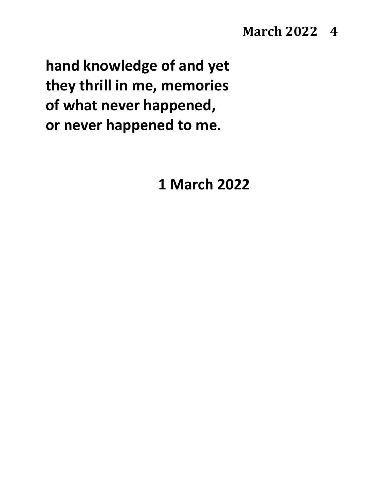## **March 2022 4**

**hand knowledge of and yet they thrill in me, memories of what never happened, or never happened to me.**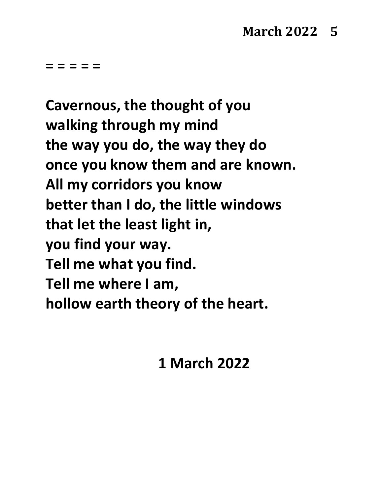**Cavernous, the thought of you walking through my mind the way you do, the way they do once you know them and are known. All my corridors you know better than I do, the little windows that let the least light in, you find your way. Tell me what you find. Tell me where I am, hollow earth theory of the heart.**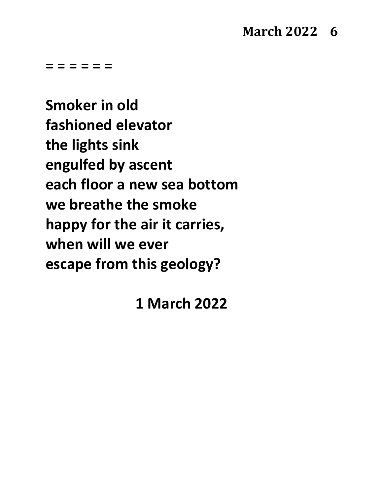## **March 2022 6**

**= = = = = =**

**Smoker in old fashioned elevator the lights sink engulfed by ascent each floor a new sea bottom we breathe the smoke happy for the air it carries, when will we ever escape from this geology?**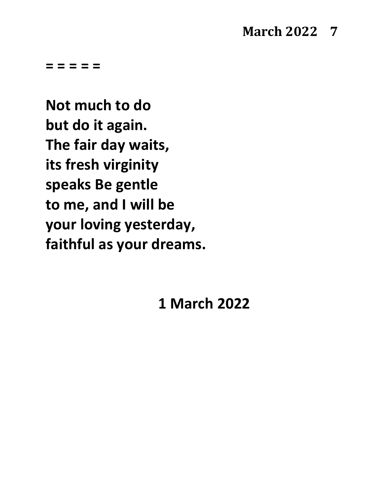## **March 2022 7**

**= = = = =**

**Not much to do but do it again. The fair day waits, its fresh virginity speaks Be gentle to me, and I will be your loving yesterday, faithful as your dreams.**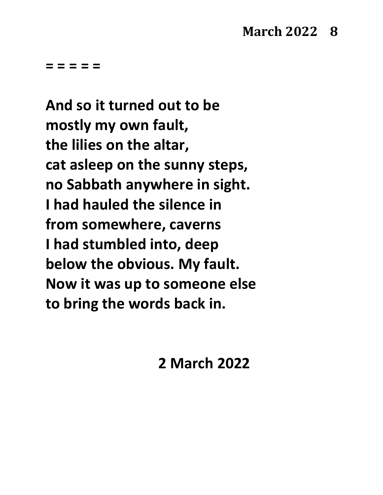**And so it turned out to be mostly my own fault, the lilies on the altar, cat asleep on the sunny steps, no Sabbath anywhere in sight. I had hauled the silence in from somewhere, caverns I had stumbled into, deep below the obvious. My fault. Now it was up to someone else to bring the words back in.**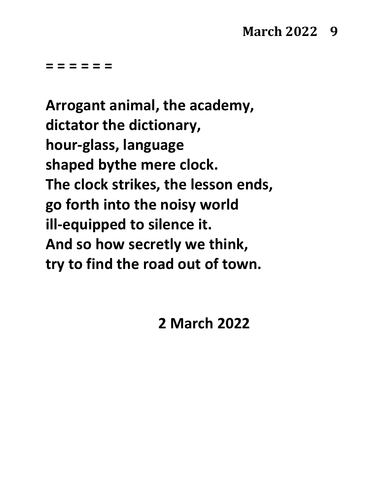## **March 2022 9**

**= = = = = =**

**Arrogant animal, the academy, dictator the dictionary, hour-glass, language shaped bythe mere clock. The clock strikes, the lesson ends, go forth into the noisy world ill-equipped to silence it. And so how secretly we think, try to find the road out of town.**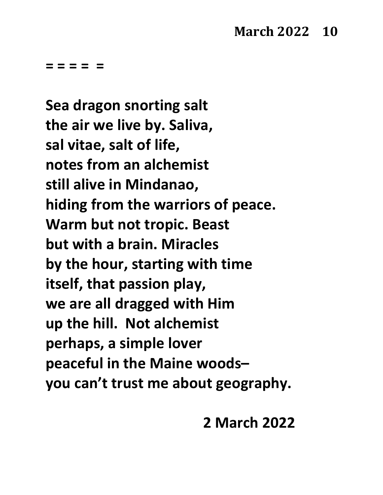**Sea dragon snorting salt the air we live by. Saliva, sal vitae, salt of life, notes from an alchemist still alive in Mindanao, hiding from the warriors of peace. Warm but not tropic. Beast but with a brain. Miracles by the hour, starting with time itself, that passion play, we are all dragged with Him up the hill. Not alchemist perhaps, a simple lover peaceful in the Maine woods– you can't trust me about geography.**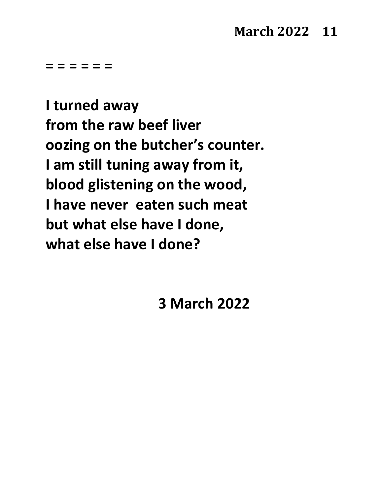## **March 2022 11**

**= = = = = =**

**I turned away from the raw beef liver oozing on the butcher's counter. I am still tuning away from it, blood glistening on the wood, I have never eaten such meat but what else have I done, what else have I done?**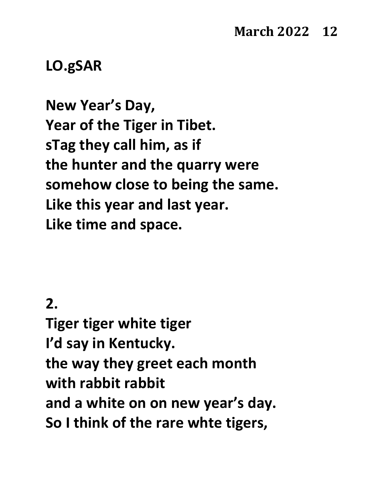## **LO.gSAR**

**New Year's Day, Year of the Tiger in Tibet. sTag they call him, as if the hunter and the quarry were somehow close to being the same. Like this year and last year. Like time and space.**

### **2.**

**Tiger tiger white tiger I'd say in Kentucky. the way they greet each month with rabbit rabbit and a white on on new year's day. So I think of the rare whte tigers,**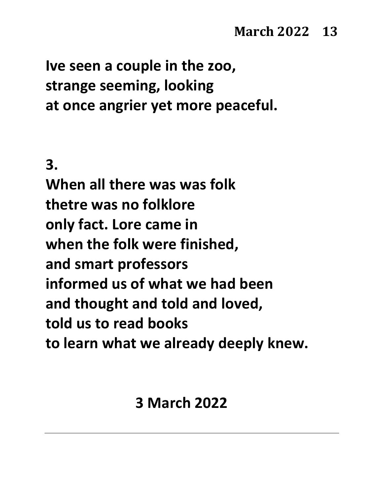**Ive seen a couple in the zoo, strange seeming, looking at once angrier yet more peaceful.**

**3.**

**When all there was was folk thetre was no folklore only fact. Lore came in when the folk were finished, and smart professors informed us of what we had been and thought and told and loved, told us to read books to learn what we already deeply knew.**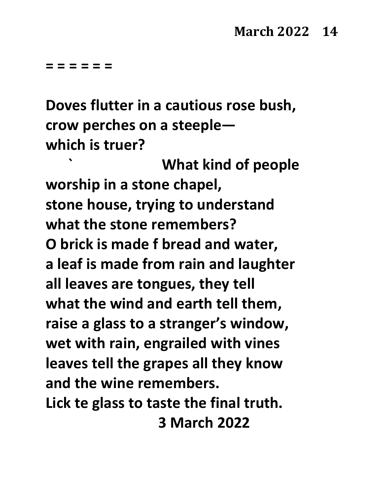**= = = = = =**

**Doves flutter in a cautious rose bush, crow perches on a steeple which is truer?** 

**` What kind of people worship in a stone chapel, stone house, trying to understand what the stone remembers? O brick is made f bread and water, a leaf is made from rain and laughter all leaves are tongues, they tell what the wind and earth tell them, raise a glass to a stranger's window, wet with rain, engrailed with vines leaves tell the grapes all they know and the wine remembers. Lick te glass to taste the final truth. 3 March 2022**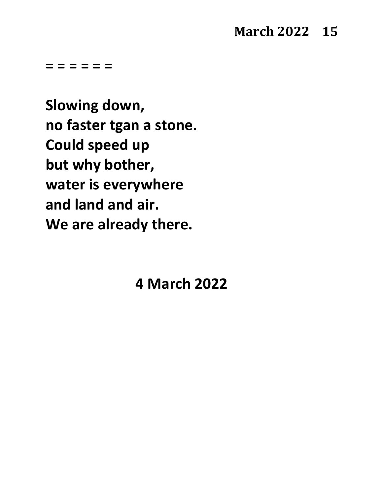## **March 2022 15**

**= = = = = =** 

**Slowing down, no faster tgan a stone. Could speed up but why bother, water is everywhere and land and air. We are already there.**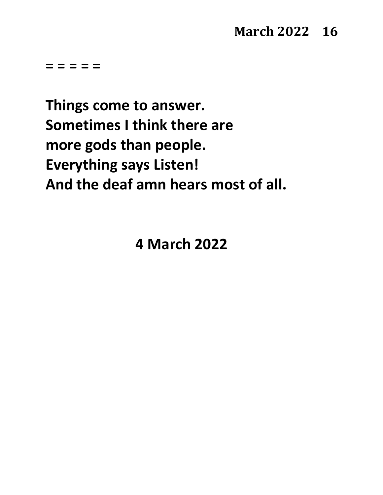**Things come to answer. Sometimes I think there are more gods than people. Everything says Listen! And the deaf amn hears most of all.**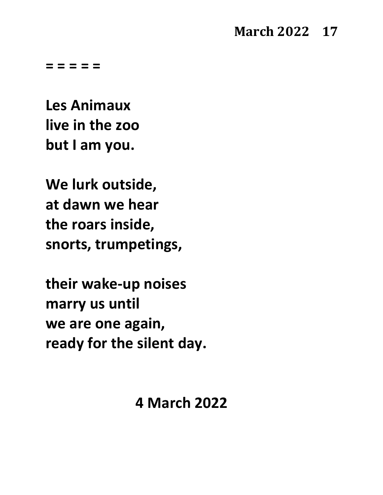## **March 2022 17**

**= = = = =**

**Les Animaux live in the zoo but I am you.**

**We lurk outside, at dawn we hear the roars inside, snorts, trumpetings,**

**their wake-up noises marry us until we are one again, ready for the silent day.**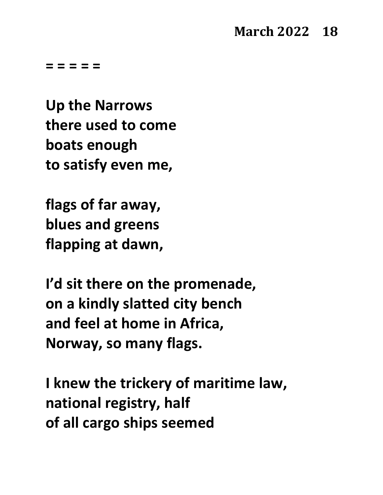**Up the Narrows there used to come boats enough to satisfy even me,**

**flags of far away, blues and greens flapping at dawn,**

**I'd sit there on the promenade, on a kindly slatted city bench and feel at home in Africa, Norway, so many flags.**

**I knew the trickery of maritime law, national registry, half of all cargo ships seemed**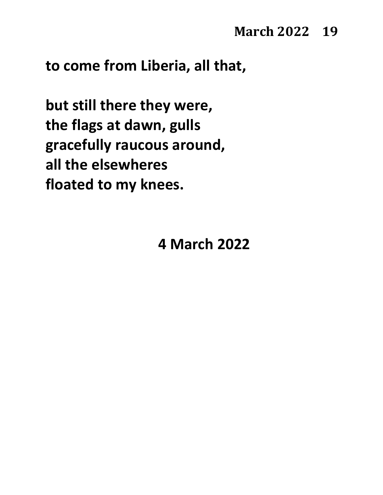**to come from Liberia, all that,**

**but still there they were, the flags at dawn, gulls gracefully raucous around, all the elsewheres floated to my knees.**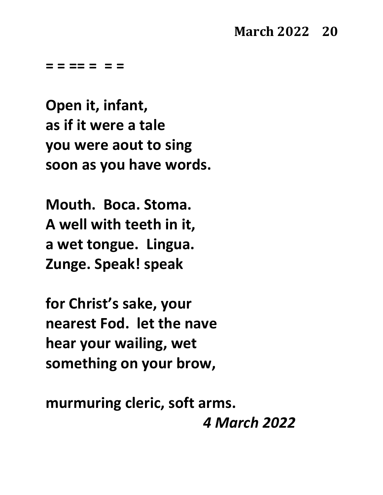**= = == = = =**

**Open it, infant, as if it were a tale you were aout to sing soon as you have words.**

**Mouth. Boca. Stoma. A well with teeth in it, a wet tongue. Lingua. Zunge. Speak! speak**

**for Christ's sake, your nearest Fod. let the nave hear your wailing, wet something on your brow,**

**murmuring cleric, soft arms.**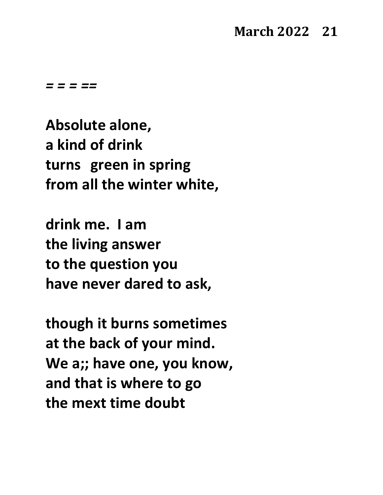**Absolute alone, a kind of drink turns green in spring from all the winter white,**

**drink me. I am the living answer to the question you have never dared to ask,**

**though it burns sometimes at the back of your mind. We a;; have one, you know, and that is where to go the mext time doubt**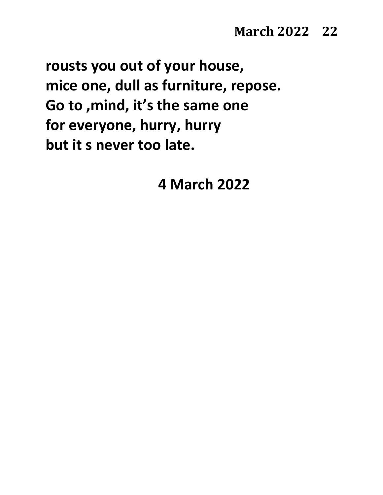**rousts you out of your house, mice one, dull as furniture, repose. Go to ,mind, it's the same one for everyone, hurry, hurry but it s never too late.**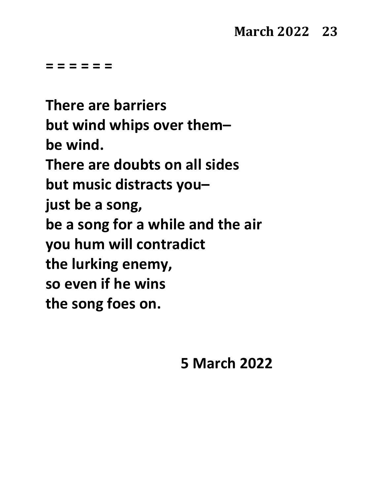**= = = = = =**

**There are barriers but wind whips over them– be wind. There are doubts on all sides but music distracts you– just be a song, be a song for a while and the air you hum will contradict the lurking enemy, so even if he wins the song foes on.**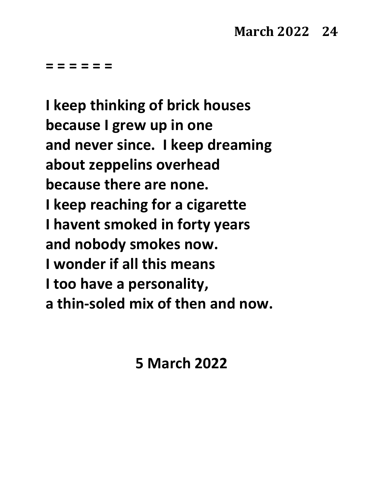**= = = = = =**

**I keep thinking of brick houses because I grew up in one and never since. I keep dreaming about zeppelins overhead because there are none. I keep reaching for a cigarette I havent smoked in forty years and nobody smokes now. I wonder if all this means I too have a personality, a thin-soled mix of then and now.**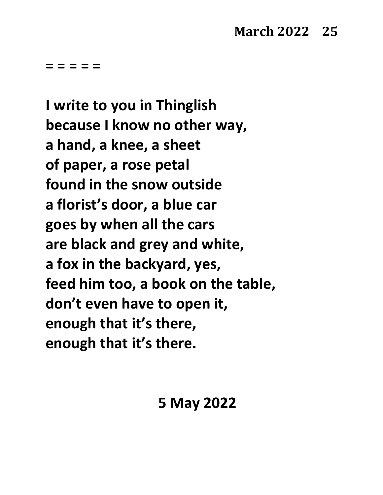**I write to you in Thinglish because I know no other way, a hand, a knee, a sheet of paper, a rose petal found in the snow outside a florist's door, a blue car goes by when all the cars are black and grey and white, a fox in the backyard, yes, feed him too, a book on the table, don't even have to open it, enough that it's there, enough that it's there.**

**5 May 2022**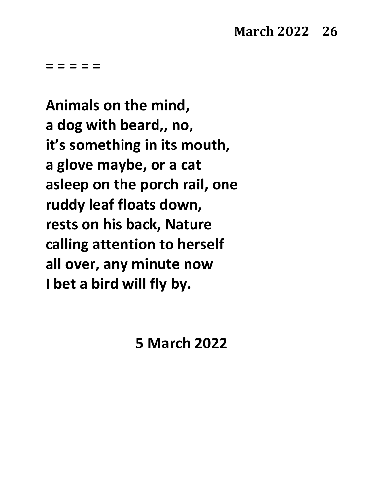**Animals on the mind, a dog with beard,, no, it's something in its mouth, a glove maybe, or a cat asleep on the porch rail, one ruddy leaf floats down, rests on his back, Nature calling attention to herself all over, any minute now I bet a bird will fly by.**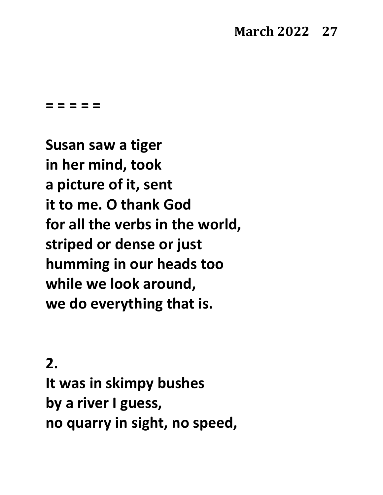## **March 2022 27**

**= = = = =**

**Susan saw a tiger in her mind, took a picture of it, sent it to me. O thank God for all the verbs in the world, striped or dense or just humming in our heads too while we look around, we do everything that is.**

#### **2.**

**It was in skimpy bushes by a river I guess, no quarry in sight, no speed,**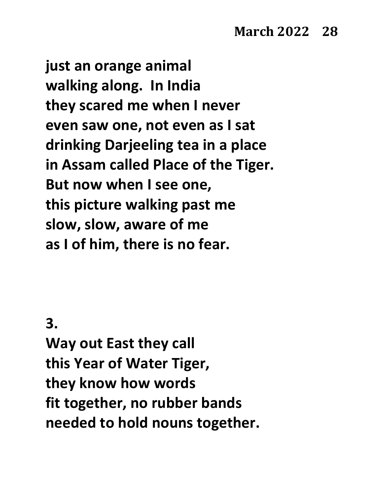**just an orange animal walking along. In India they scared me when I never even saw one, not even as I sat drinking Darjeeling tea in a place in Assam called Place of the Tiger. But now when I see one, this picture walking past me slow, slow, aware of me as I of him, there is no fear.**

**3.**

**Way out East they call this Year of Water Tiger, they know how words fit together, no rubber bands needed to hold nouns together.**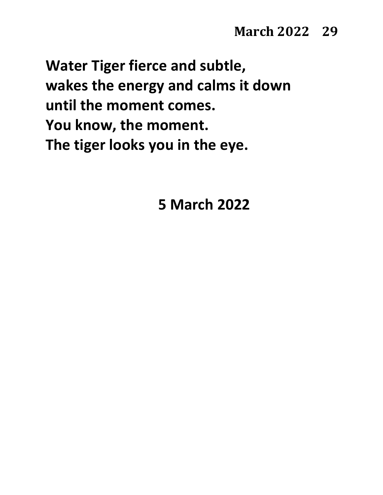**Water Tiger fierce and subtle, wakes the energy and calms it down until the moment comes. You know, the moment. The tiger looks you in the eye.**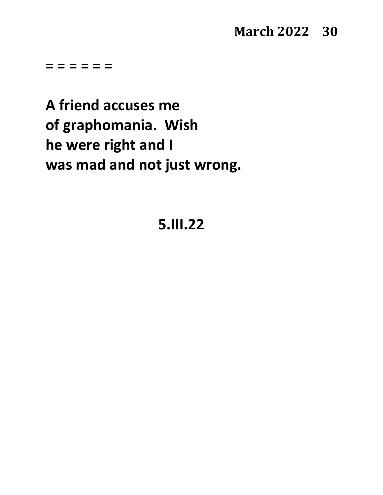## **March 2022 30**

**= = = = = =**

**A friend accuses me of graphomania. Wish he were right and I was mad and not just wrong.**

## **5.III.22**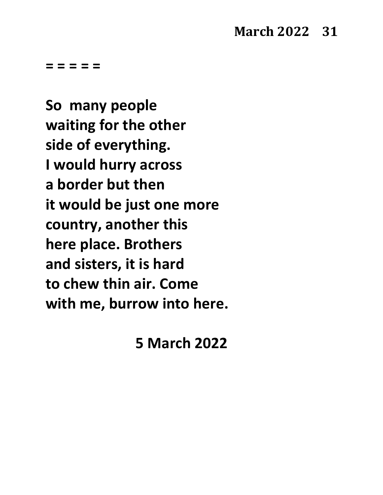**So many people waiting for the other side of everything. I would hurry across a border but then it would be just one more country, another this here place. Brothers and sisters, it is hard to chew thin air. Come with me, burrow into here.**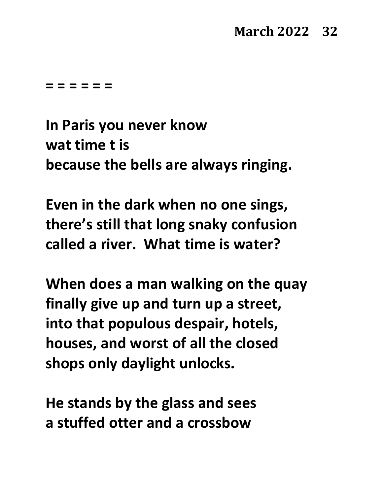**= = = = = =**

**In Paris you never know wat time t is because the bells are always ringing.**

**Even in the dark when no one sings, there's still that long snaky confusion called a river. What time is water?**

**When does a man walking on the quay finally give up and turn up a street, into that populous despair, hotels, houses, and worst of all the closed shops only daylight unlocks.**

**He stands by the glass and sees a stuffed otter and a crossbow**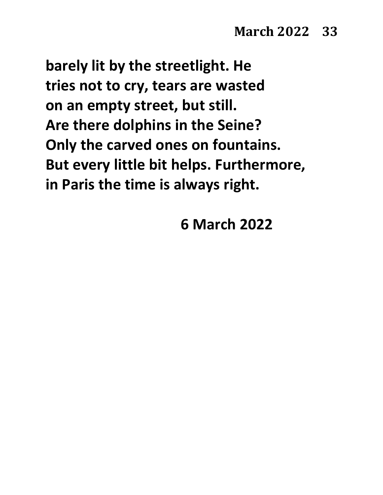**barely lit by the streetlight. He tries not to cry, tears are wasted on an empty street, but still. Are there dolphins in the Seine? Only the carved ones on fountains. But every little bit helps. Furthermore, in Paris the time is always right.**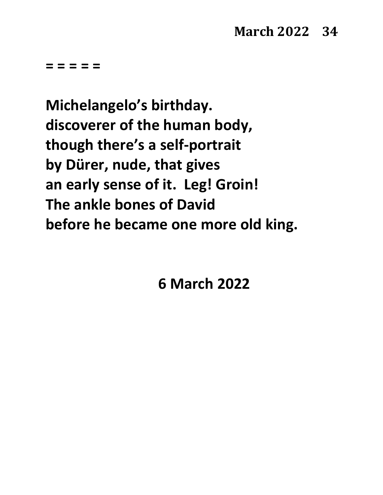**Michelangelo's birthday. discoverer of the human body, though there's a self-portrait by Dürer, nude, that gives an early sense of it. Leg! Groin! The ankle bones of David before he became one more old king.**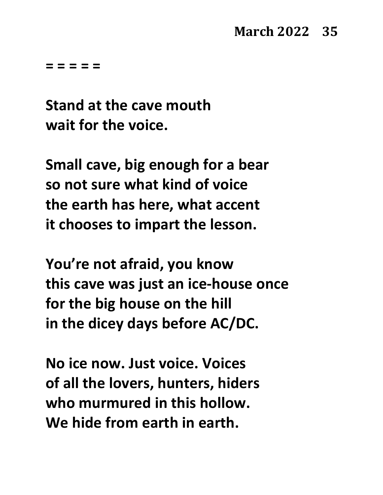**Stand at the cave mouth wait for the voice.**

**Small cave, big enough for a bear so not sure what kind of voice the earth has here, what accent it chooses to impart the lesson.**

**You're not afraid, you know this cave was just an ice-house once for the big house on the hill in the dicey days before AC/DC.**

**No ice now. Just voice. Voices of all the lovers, hunters, hiders who murmured in this hollow. We hide from earth in earth.**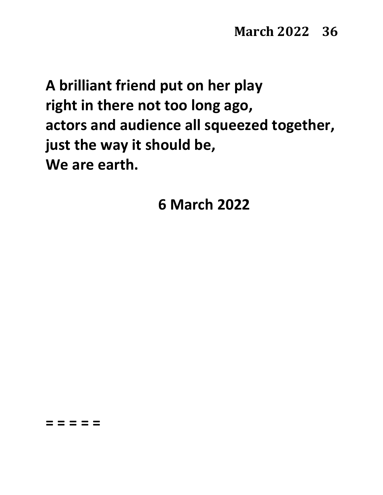**A brilliant friend put on her play right in there not too long ago, actors and audience all squeezed together, just the way it should be, We are earth.**

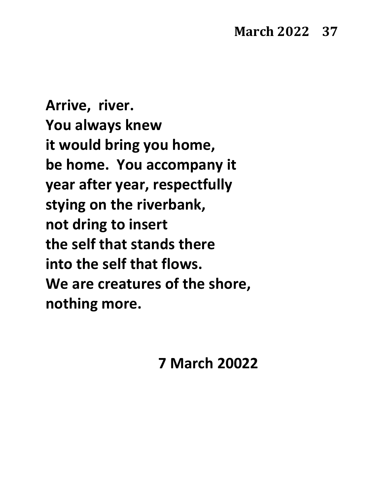**Arrive, river. You always knew it would bring you home, be home. You accompany it year after year, respectfully stying on the riverbank, not dring to insert the self that stands there into the self that flows. We are creatures of the shore, nothing more.**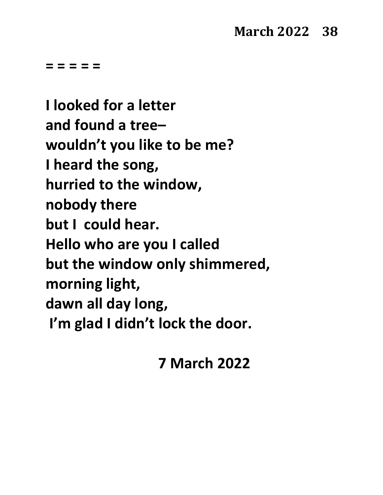**= = = = =**

**I looked for a letter and found a tree– wouldn't you like to be me? I heard the song, hurried to the window, nobody there but I could hear. Hello who are you I called but the window only shimmered, morning light, dawn all day long, I'm glad I didn't lock the door.**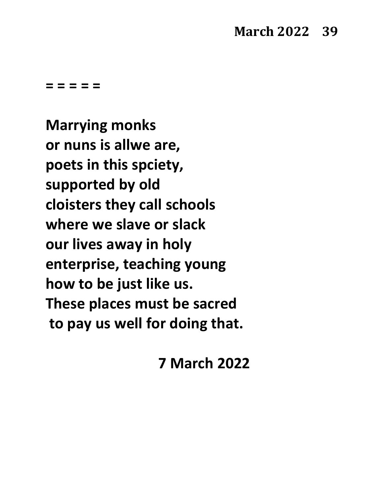**= = = = =**

**Marrying monks or nuns is allwe are, poets in this spciety, supported by old cloisters they call schools where we slave or slack our lives away in holy enterprise, teaching young how to be just like us. These places must be sacred to pay us well for doing that.**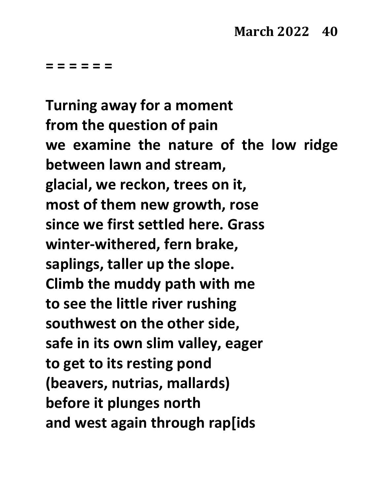**= = = = = =**

**Turning away for a moment from the question of pain we examine the nature of the low ridge between lawn and stream, glacial, we reckon, trees on it, most of them new growth, rose since we first settled here. Grass winter-withered, fern brake, saplings, taller up the slope. Climb the muddy path with me to see the little river rushing southwest on the other side, safe in its own slim valley, eager to get to its resting pond (beavers, nutrias, mallards) before it plunges north and west again through rap[ids**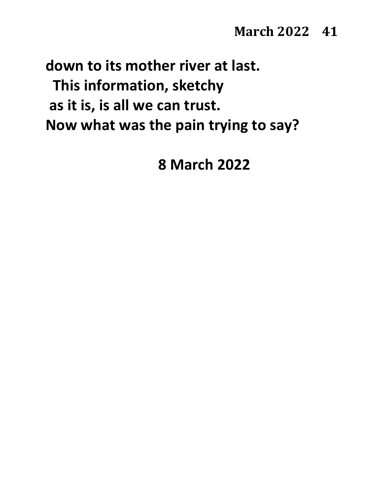**down to its mother river at last. This information, sketchy as it is, is all we can trust. Now what was the pain trying to say?**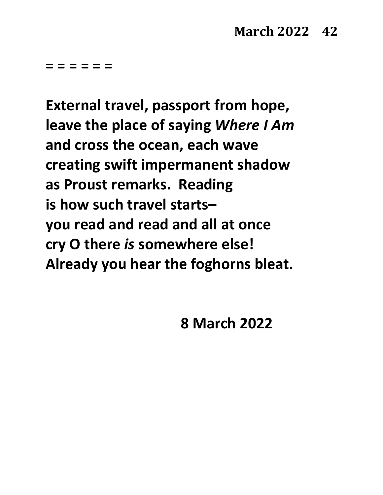**= = = = = =**

**External travel, passport from hope, leave the place of saying** *Where I Am* **and cross the ocean, each wave creating swift impermanent shadow as Proust remarks. Reading is how such travel starts– you read and read and all at once cry O there** *is* **somewhere else! Already you hear the foghorns bleat.**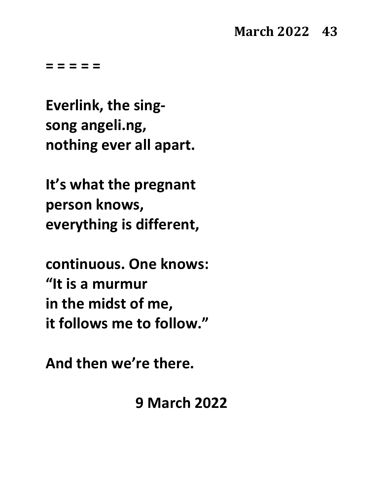**= = = = =**

**Everlink, the singsong angeli.ng, nothing ever all apart.**

**It's what the pregnant person knows, everything is different,**

**continuous. One knows: "It is a murmur in the midst of me, it follows me to follow."**

**And then we're there.**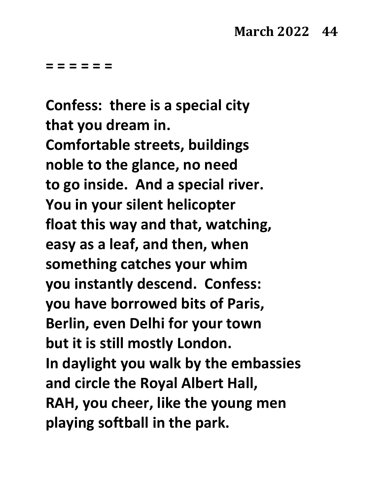**= = = = = =**

**Confess: there is a special city that you dream in. Comfortable streets, buildings noble to the glance, no need to go inside. And a special river. You in your silent helicopter float this way and that, watching, easy as a leaf, and then, when something catches your whim you instantly descend. Confess: you have borrowed bits of Paris, Berlin, even Delhi for your town but it is still mostly London. In daylight you walk by the embassies and circle the Royal Albert Hall, RAH, you cheer, like the young men playing softball in the park.**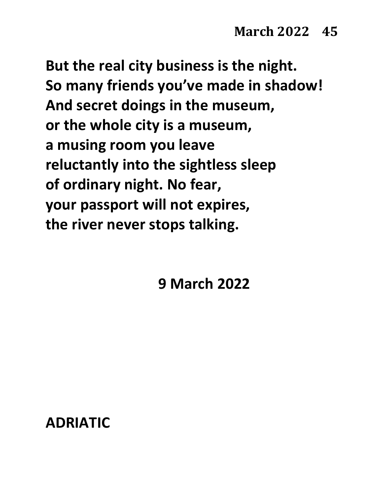**But the real city business is the night. So many friends you've made in shadow! And secret doings in the museum, or the whole city is a museum, a musing room you leave reluctantly into the sightless sleep of ordinary night. No fear, your passport will not expires, the river never stops talking.**

**9 March 2022**

#### **ADRIATIC**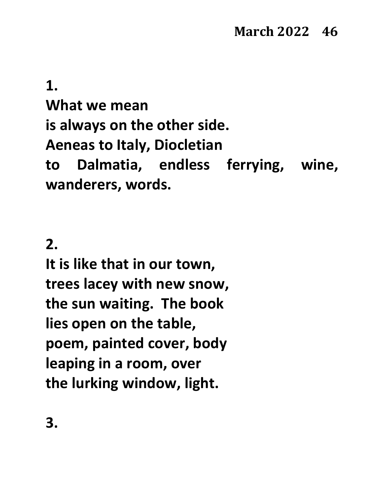**1.**

**What we mean is always on the other side. Aeneas to Italy, Diocletian to Dalmatia, endless ferrying, wine, wanderers, words.**

### **2.**

**It is like that in our town, trees lacey with new snow, the sun waiting. The book lies open on the table, poem, painted cover, body leaping in a room, over the lurking window, light.**

**3.**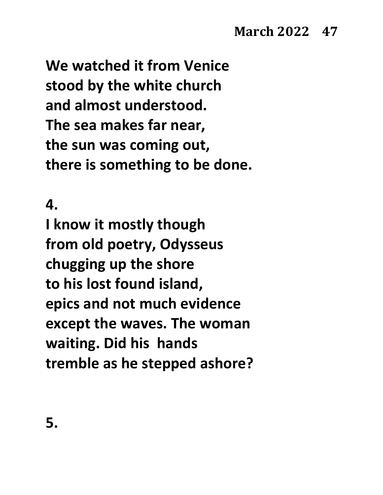**We watched it from Venice stood by the white church and almost understood. The sea makes far near, the sun was coming out, there is something to be done.**

#### **4.**

**I know it mostly though from old poetry, Odysseus chugging up the shore to his lost found island, epics and not much evidence except the waves. The woman waiting. Did his hands tremble as he stepped ashore?**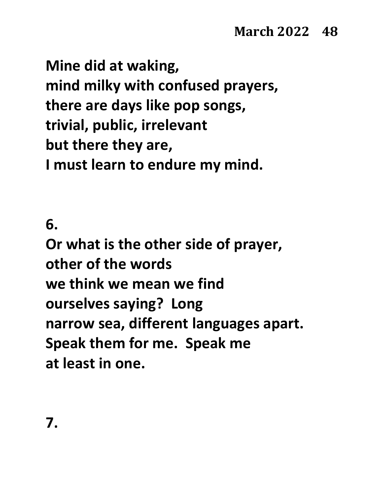**Mine did at waking, mind milky with confused prayers, there are days like pop songs, trivial, public, irrelevant but there they are, I must learn to endure my mind.**

**6.**

**Or what is the other side of prayer, other of the words we think we mean we find ourselves saying? Long narrow sea, different languages apart. Speak them for me. Speak me at least in one.**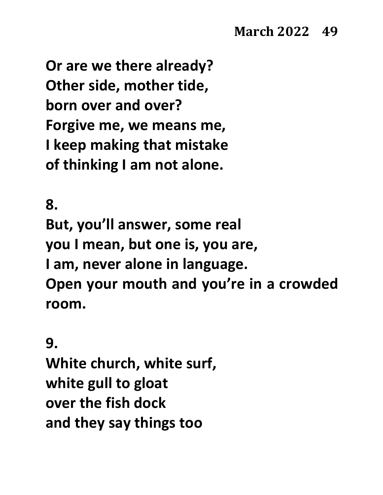**Or are we there already? Other side, mother tide, born over and over? Forgive me, we means me, I keep making that mistake of thinking I am not alone.**

**8.**

**But, you'll answer, some real you I mean, but one is, you are, I am, never alone in language. Open your mouth and you're in a crowded room.**

**9.**

**White church, white surf, white gull to gloat over the fish dock and they say things too**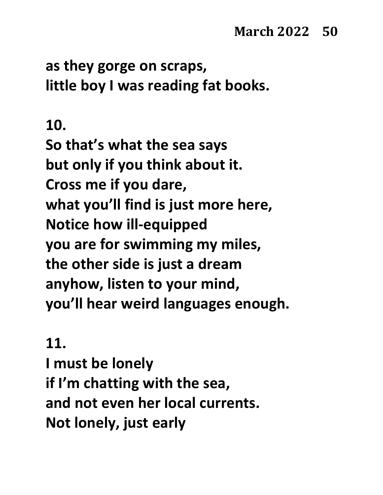**as they gorge on scraps, little boy I was reading fat books.**

#### **10.**

**So that's what the sea says but only if you think about it. Cross me if you dare, what you'll find is just more here, Notice how ill-equipped you are for swimming my miles, the other side is just a dream anyhow, listen to your mind, you'll hear weird languages enough.**

#### **11.**

**I must be lonely if I'm chatting with the sea, and not even her local currents. Not lonely, just early**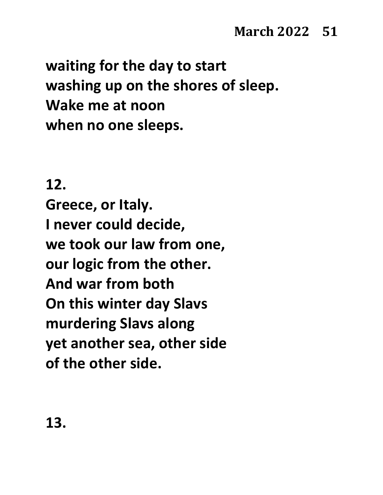**waiting for the day to start washing up on the shores of sleep. Wake me at noon when no one sleeps.**

### **12.**

**Greece, or Italy. I never could decide, we took our law from one, our logic from the other. And war from both On this winter day Slavs murdering Slavs along yet another sea, other side of the other side.**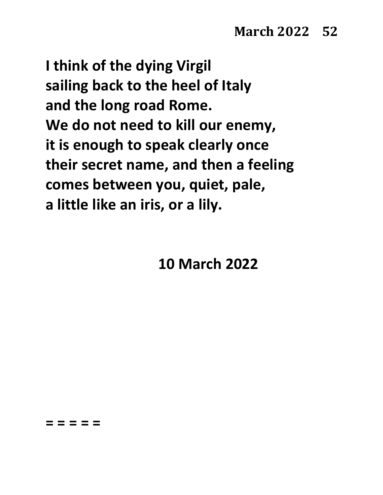**I think of the dying Virgil sailing back to the heel of Italy and the long road Rome. We do not need to kill our enemy, it is enough to speak clearly once their secret name, and then a feeling comes between you, quiet, pale, a little like an iris, or a lily.**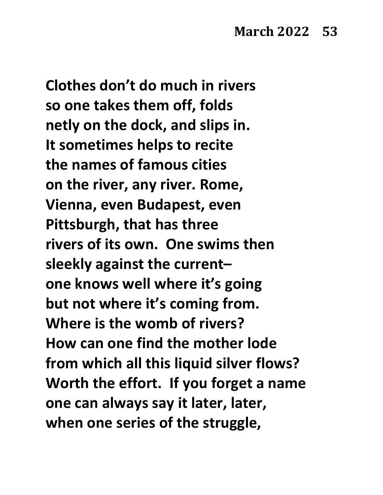**Clothes don't do much in rivers so one takes them off, folds netly on the dock, and slips in. It sometimes helps to recite the names of famous cities on the river, any river. Rome, Vienna, even Budapest, even Pittsburgh, that has three rivers of its own. One swims then sleekly against the current– one knows well where it's going but not where it's coming from. Where is the womb of rivers? How can one find the mother lode from which all this liquid silver flows? Worth the effort. If you forget a name one can always say it later, later, when one series of the struggle,**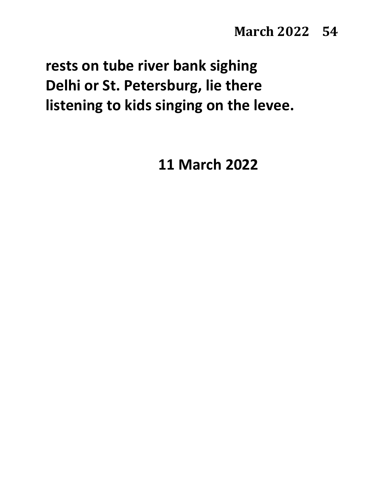# **rests on tube river bank sighing Delhi or St. Petersburg, lie there listening to kids singing on the levee.**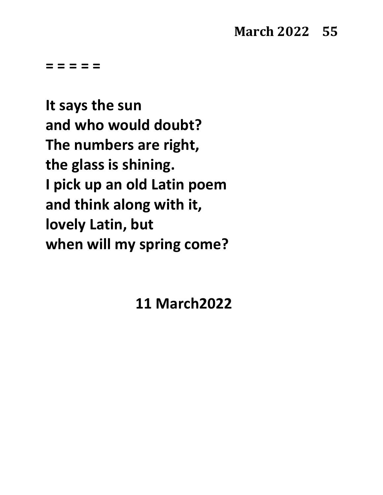**= = = = =**

**It says the sun and who would doubt? The numbers are right, the glass is shining. I pick up an old Latin poem and think along with it, lovely Latin, but when will my spring come?**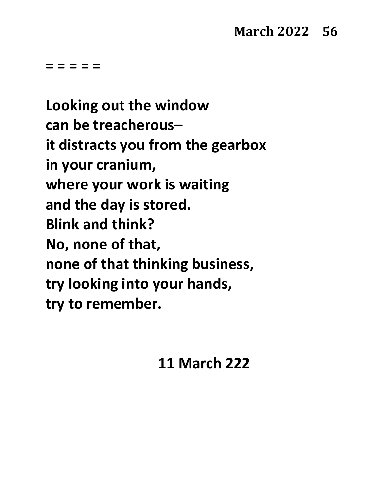**= = = = =**

**Looking out the window can be treacherous– it distracts you from the gearbox in your cranium, where your work is waiting and the day is stored. Blink and think? No, none of that, none of that thinking business, try looking into your hands, try to remember.**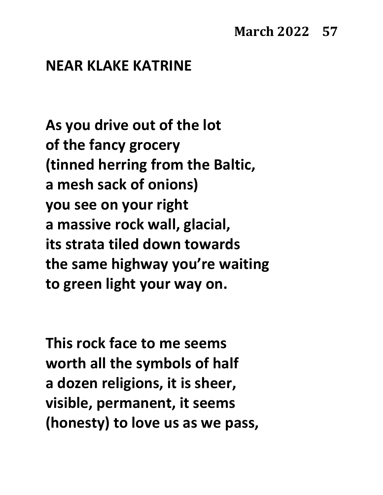### **March 2022 57**

#### **NEAR KLAKE KATRINE**

**As you drive out of the lot of the fancy grocery (tinned herring from the Baltic, a mesh sack of onions) you see on your right a massive rock wall, glacial, its strata tiled down towards the same highway you're waiting to green light your way on.**

**This rock face to me seems worth all the symbols of half a dozen religions, it is sheer, visible, permanent, it seems (honesty) to love us as we pass,**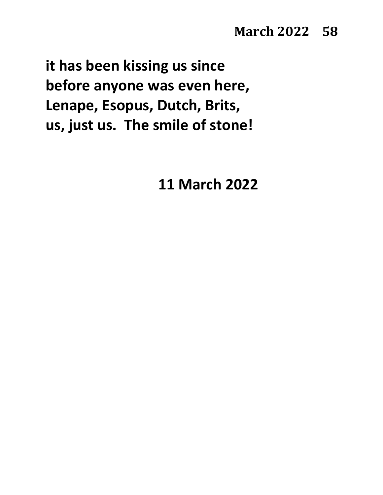**it has been kissing us since before anyone was even here, Lenape, Esopus, Dutch, Brits, us, just us. The smile of stone!**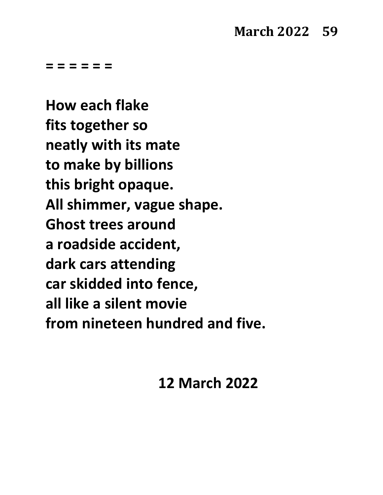**= = = = = =**

**How each flake fits together so neatly with its mate to make by billions this bright opaque. All shimmer, vague shape. Ghost trees around a roadside accident, dark cars attending car skidded into fence, all like a silent movie from nineteen hundred and five.**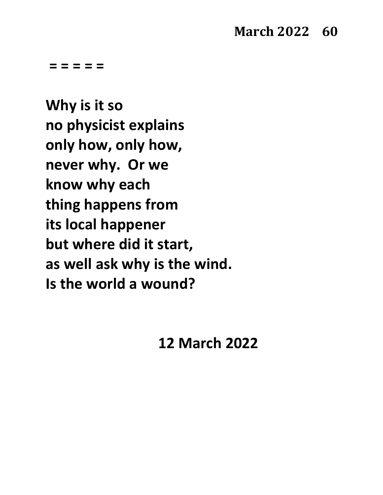**= = = = =**

**Why is it so no physicist explains only how, only how, never why. Or we know why each thing happens from its local happener but where did it start, as well ask why is the wind. Is the world a wound?**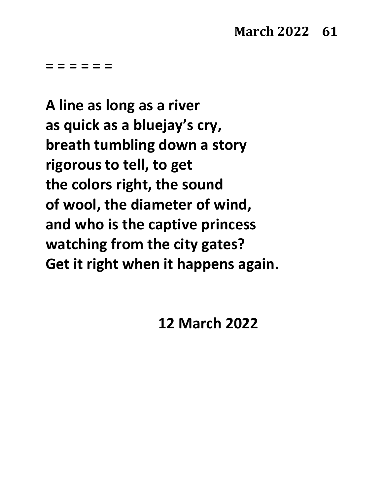**= = = = = =**

**A line as long as a river as quick as a bluejay's cry, breath tumbling down a story rigorous to tell, to get the colors right, the sound of wool, the diameter of wind, and who is the captive princess watching from the city gates? Get it right when it happens again.**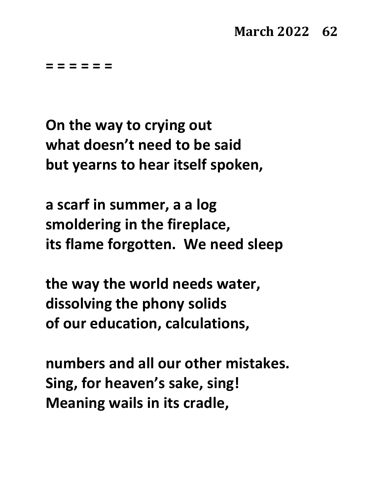#### **March 2022 62**

**= = = = = =**

**On the way to crying out what doesn't need to be said but yearns to hear itself spoken,**

**a scarf in summer, a a log smoldering in the fireplace, its flame forgotten. We need sleep**

**the way the world needs water, dissolving the phony solids of our education, calculations,**

**numbers and all our other mistakes. Sing, for heaven's sake, sing! Meaning wails in its cradle,**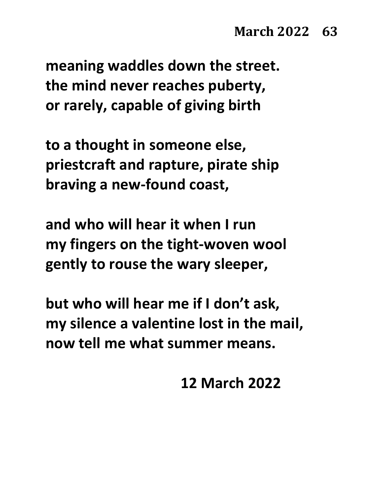**meaning waddles down the street. the mind never reaches puberty, or rarely, capable of giving birth**

**to a thought in someone else, priestcraft and rapture, pirate ship braving a new-found coast,**

**and who will hear it when I run my fingers on the tight-woven wool gently to rouse the wary sleeper,**

**but who will hear me if I don't ask, my silence a valentine lost in the mail, now tell me what summer means.**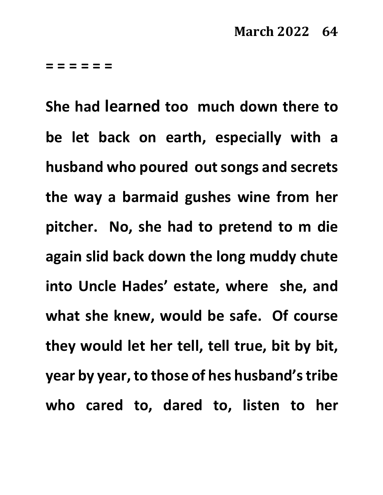**= = = = = =**

**She had learned too much down there to be let back on earth, especially with a husband who poured out songs and secrets the way a barmaid gushes wine from her pitcher. No, she had to pretend to m die again slid back down the long muddy chute into Uncle Hades' estate, where she, and what she knew, would be safe. Of course they would let her tell, tell true, bit by bit, year by year, to those of hes husband's tribe who cared to, dared to, listen to her**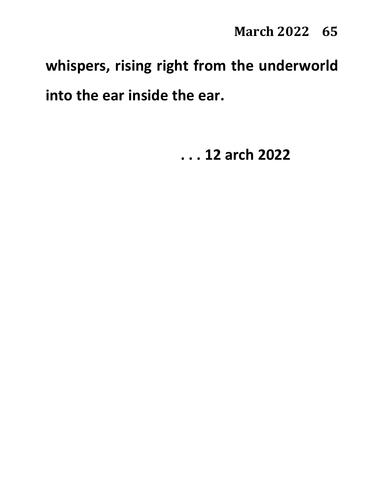# **whispers, rising right from the underworld into the ear inside the ear.**

**. . . 12 arch 2022**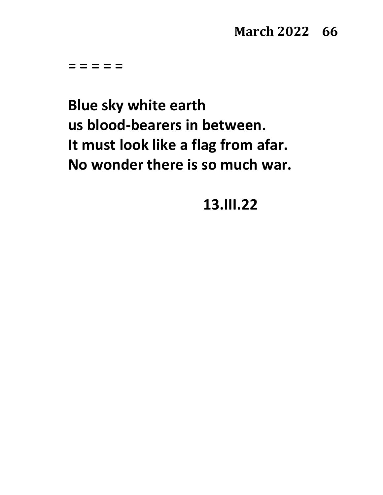#### **March 2022 66**

**= = = = =**

**Blue sky white earth us blood-bearers in between. It must look like a flag from afar. No wonder there is so much war.**

**13.III.22**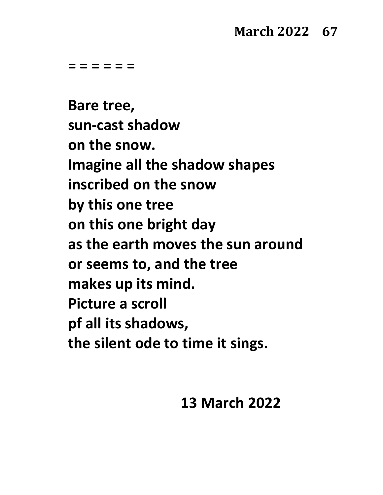#### **March 2022 67**

**= = = = = =**

**Bare tree, sun-cast shadow on the snow. Imagine all the shadow shapes inscribed on the snow by this one tree on this one bright day as the earth moves the sun around or seems to, and the tree makes up its mind. Picture a scroll pf all its shadows, the silent ode to time it sings.**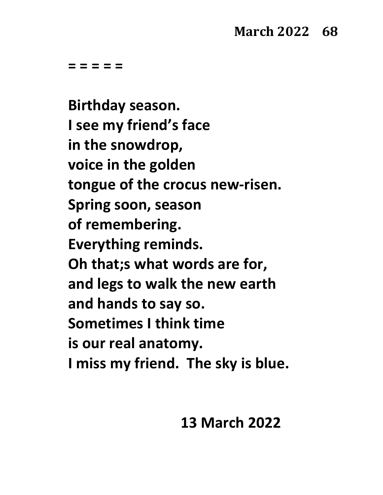**= = = = =**

**Birthday season. I see my friend's face in the snowdrop, voice in the golden tongue of the crocus new-risen. Spring soon, season of remembering. Everything reminds. Oh that;s what words are for, and legs to walk the new earth and hands to say so. Sometimes I think time is our real anatomy. I miss my friend. The sky is blue.**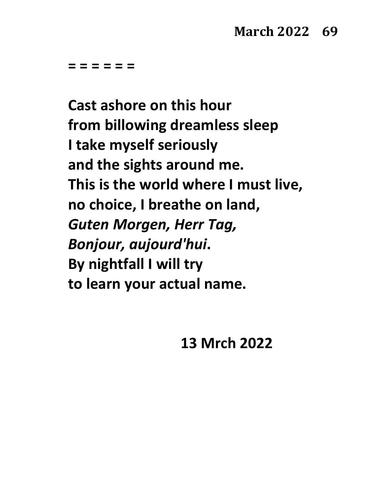**= = = = = =**

**Cast ashore on this hour from billowing dreamless sleep I take myself seriously and the sights around me. This is the world where I must live, no choice, I breathe on land,** *Guten Morgen, Herr Tag, Bonjour, aujourd'hui***. By nightfall I will try to learn your actual name.**

**13 Mrch 2022**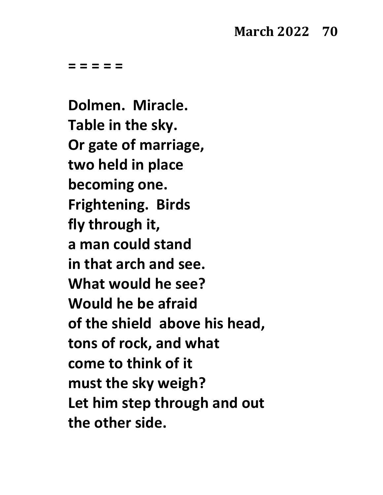#### **March 2022 70**

**= = = = =**

**Dolmen. Miracle. Table in the sky. Or gate of marriage, two held in place becoming one. Frightening. Birds fly through it, a man could stand in that arch and see. What would he see? Would he be afraid of the shield above his head, tons of rock, and what come to think of it must the sky weigh? Let him step through and out the other side.**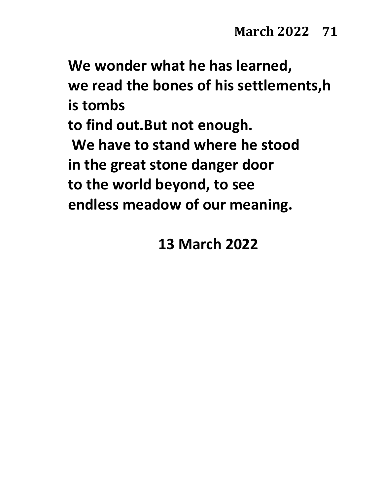**We wonder what he has learned, we read the bones of his settlements,h is tombs to find out.But not enough. We have to stand where he stood in the great stone danger door**

**to the world beyond, to see**

**endless meadow of our meaning.**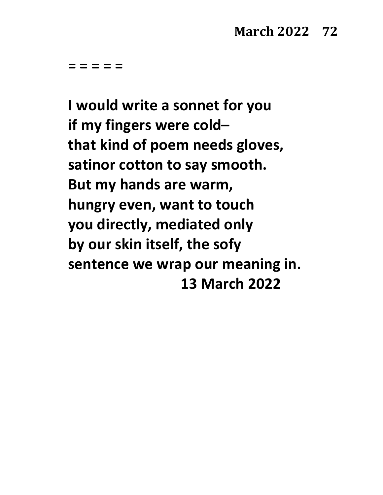**I would write a sonnet for you if my fingers were cold– that kind of poem needs gloves, satinor cotton to say smooth. But my hands are warm, hungry even, want to touch you directly, mediated only by our skin itself, the sofy sentence we wrap our meaning in. 13 March 2022**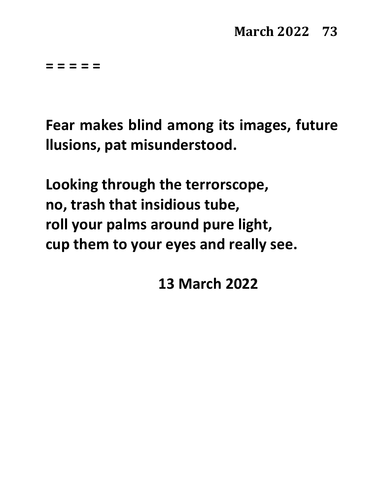**Fear makes blind among its images, future llusions, pat misunderstood.**

**Looking through the terrorscope, no, trash that insidious tube, roll your palms around pure light, cup them to your eyes and really see.**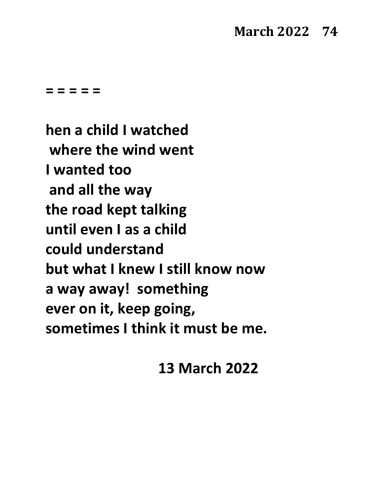#### **March 2022 74**

**= = = = =**

**hen a child I watched where the wind went I wanted too and all the way the road kept talking until even I as a child could understand but what I knew I still know now a way away! something ever on it, keep going, sometimes I think it must be me.**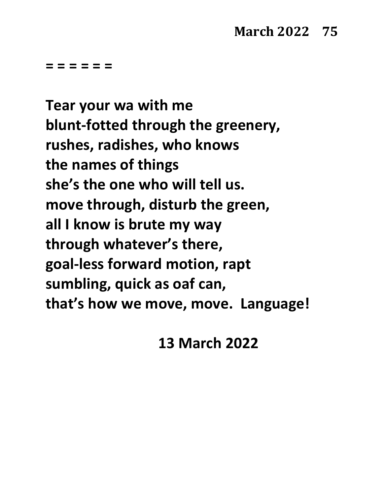**= = = = = =**

**Tear your wa with me blunt-fotted through the greenery, rushes, radishes, who knows the names of things she's the one who will tell us. move through, disturb the green, all I know is brute my way through whatever's there, goal-less forward motion, rapt sumbling, quick as oaf can, that's how we move, move. Language!**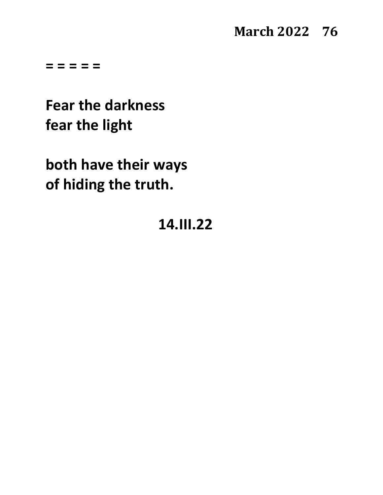#### **March 2022 76**

**= = = = =**

**Fear the darkness fear the light**

**both have their ways of hiding the truth.**

## **14.III.22**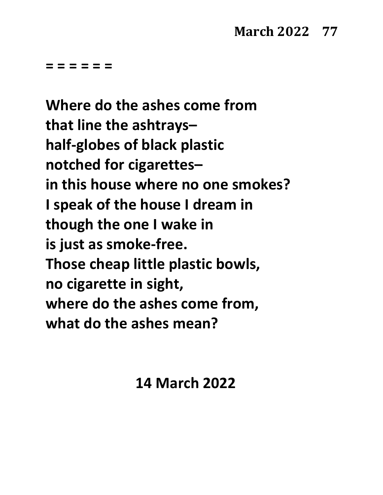**= = = = = =**

**Where do the ashes come from that line the ashtrays– half-globes of black plastic notched for cigarettes– in this house where no one smokes? I speak of the house I dream in though the one I wake in is just as smoke-free. Those cheap little plastic bowls, no cigarette in sight, where do the ashes come from, what do the ashes mean?**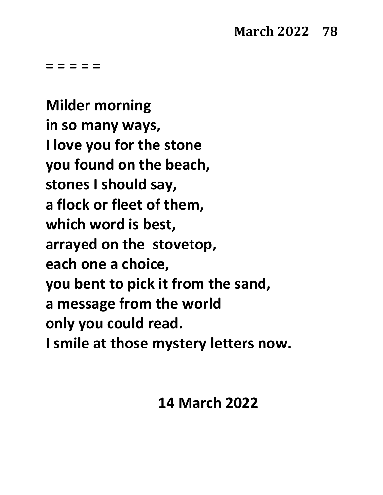**Milder morning in so many ways, I love you for the stone you found on the beach, stones I should say, a flock or fleet of them, which word is best, arrayed on the stovetop, each one a choice, you bent to pick it from the sand, a message from the world only you could read. I smile at those mystery letters now.**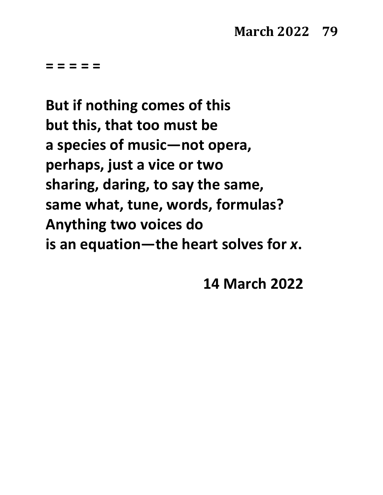**But if nothing comes of this but this, that too must be a species of music—not opera, perhaps, just a vice or two sharing, daring, to say the same, same what, tune, words, formulas? Anything two voices do is an equation—the heart solves for** *x***.**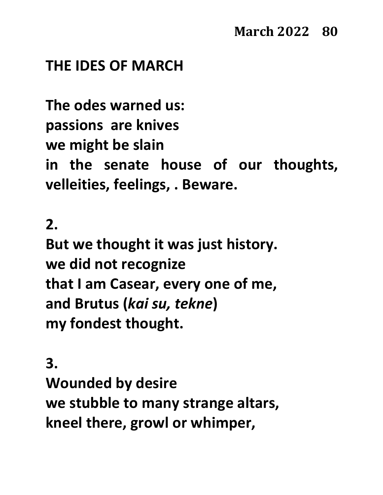#### **THE IDES OF MARCH**

**The odes warned us: passions are knives we might be slain in the senate house of our thoughts, velleities, feelings, . Beware.**

**2.**

**But we thought it was just history. we did not recognize that I am Casear, every one of me, and Brutus (***kai su, tekne***) my fondest thought.**

**3. Wounded by desire we stubble to many strange altars, kneel there, growl or whimper,**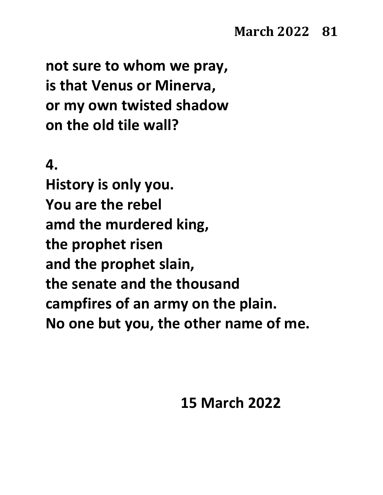**not sure to whom we pray, is that Venus or Minerva, or my own twisted shadow on the old tile wall?**

#### **4.**

**History is only you. You are the rebel amd the murdered king, the prophet risen and the prophet slain, the senate and the thousand campfires of an army on the plain. No one but you, the other name of me.**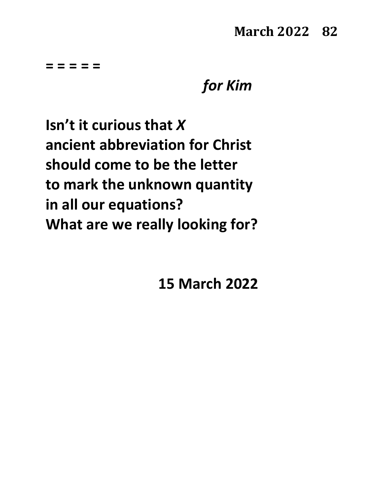## *for Kim*

**Isn't it curious that** *X* **ancient abbreviation for Christ should come to be the letter to mark the unknown quantity in all our equations? What are we really looking for?**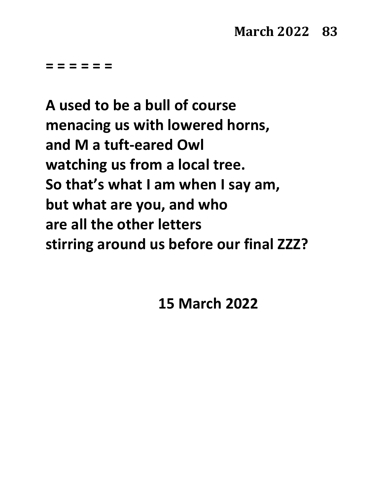**= = = = = =**

**A used to be a bull of course menacing us with lowered horns, and M a tuft-eared Owl watching us from a local tree. So that's what I am when I say am, but what are you, and who are all the other letters stirring around us before our final ZZZ?**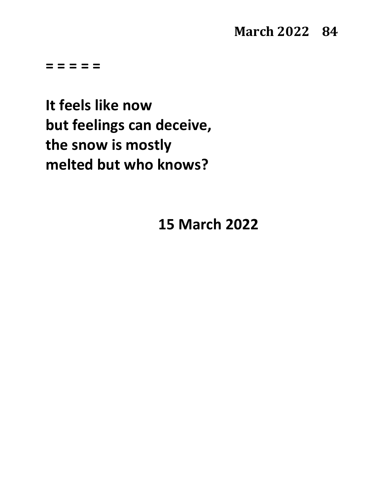**March 2022 84** 

**= = = = =**

**It feels like now but feelings can deceive, the snow is mostly melted but who knows?**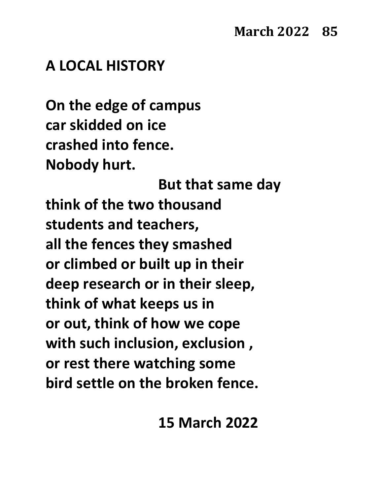#### **A LOCAL HISTORY**

**On the edge of campus car skidded on ice crashed into fence. Nobody hurt.** 

**But that same day think of the two thousand students and teachers, all the fences they smashed or climbed or built up in their deep research or in their sleep, think of what keeps us in or out, think of how we cope with such inclusion, exclusion , or rest there watching some bird settle on the broken fence.**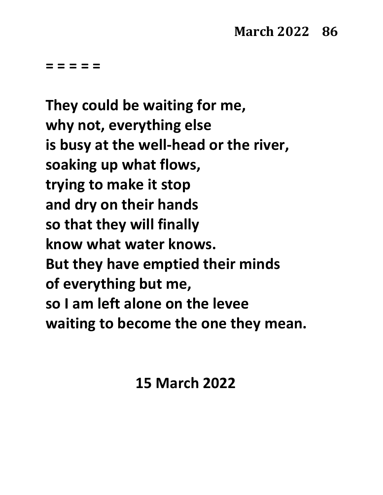**They could be waiting for me, why not, everything else is busy at the well-head or the river, soaking up what flows, trying to make it stop and dry on their hands so that they will finally know what water knows. But they have emptied their minds of everything but me, so I am left alone on the levee waiting to become the one they mean.**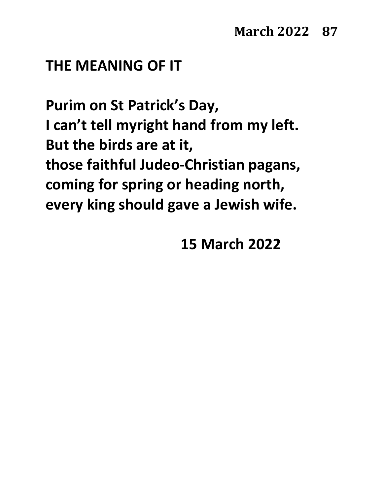#### **THE MEANING OF IT**

**Purim on St Patrick's Day, I can't tell myright hand from my left. But the birds are at it, those faithful Judeo-Christian pagans, coming for spring or heading north, every king should gave a Jewish wife.**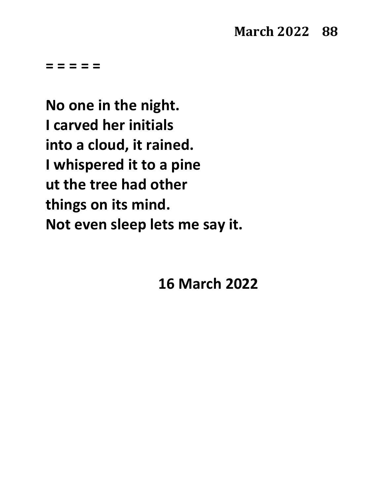**No one in the night. I carved her initials into a cloud, it rained. I whispered it to a pine ut the tree had other things on its mind. Not even sleep lets me say it.**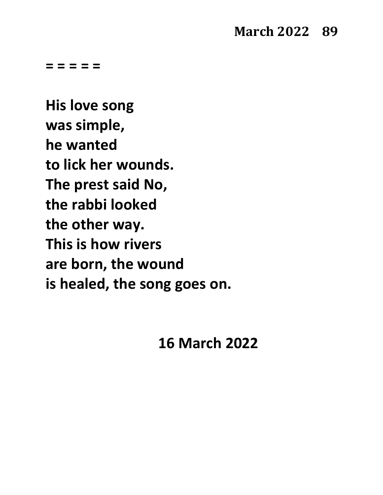**His love song was simple, he wanted to lick her wounds. The prest said No, the rabbi looked the other way. This is how rivers are born, the wound is healed, the song goes on.**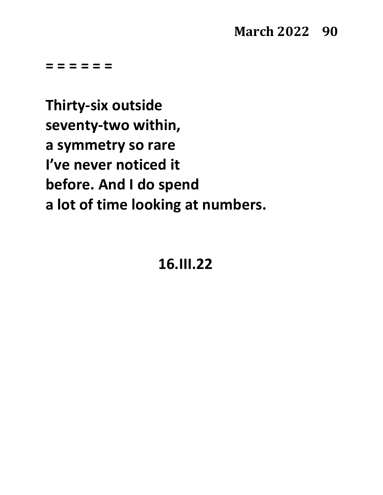**= = = = = =**

**Thirty-six outside seventy-two within, a symmetry so rare I've never noticed it before. And I do spend a lot of time looking at numbers.**

## **16.III.22**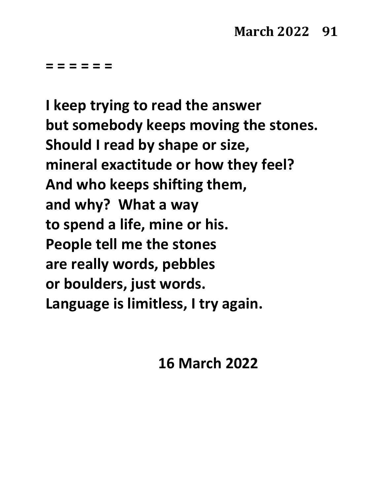**= = = = = =**

**I keep trying to read the answer but somebody keeps moving the stones. Should I read by shape or size, mineral exactitude or how they feel? And who keeps shifting them, and why? What a way to spend a life, mine or his. People tell me the stones are really words, pebbles or boulders, just words. Language is limitless, I try again.**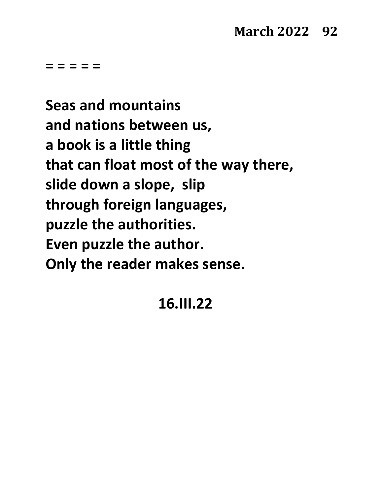**Seas and mountains and nations between us, a book is a little thing that can float most of the way there, slide down a slope, slip through foreign languages, puzzle the authorities. Even puzzle the author. Only the reader makes sense.**

#### **16.III.22**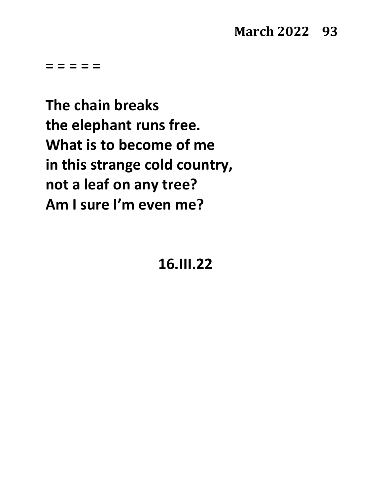**The chain breaks the elephant runs free. What is to become of me in this strange cold country, not a leaf on any tree? Am I sure I'm even me?**

#### **16.III.22**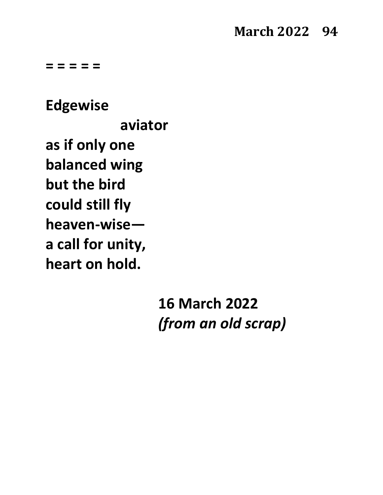**Edgewise aviator as if only one balanced wing but the bird could still fly heaven-wise a call for unity, heart on hold.**

> **16 March 2022** *(from an old scrap)*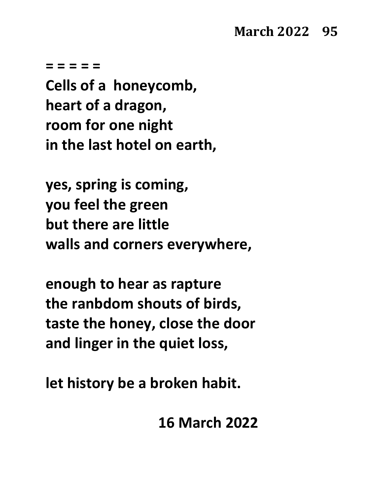**Cells of a honeycomb, heart of a dragon, room for one night in the last hotel on earth,**

**yes, spring is coming, you feel the green but there are little walls and corners everywhere,**

**enough to hear as rapture the ranbdom shouts of birds, taste the honey, close the door and linger in the quiet loss,**

**let history be a broken habit.**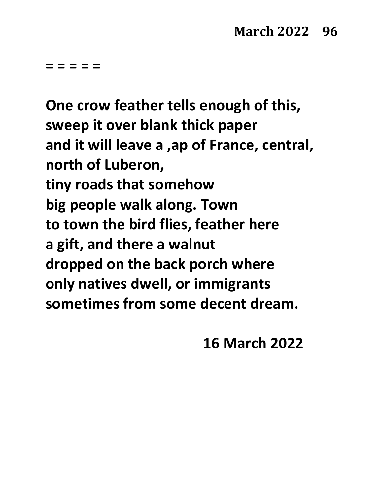**One crow feather tells enough of this, sweep it over blank thick paper and it will leave a ,ap of France, central, north of Luberon, tiny roads that somehow big people walk along. Town to town the bird flies, feather here a gift, and there a walnut dropped on the back porch where only natives dwell, or immigrants sometimes from some decent dream.**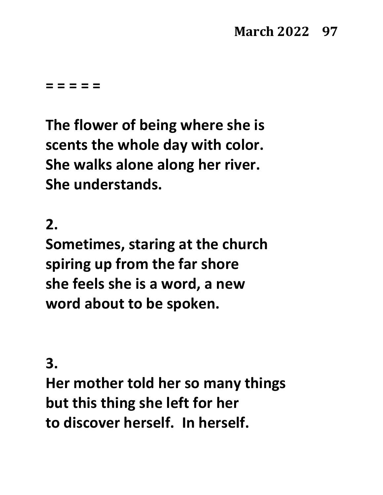## **March 2022 97**

**= = = = =** 

**The flower of being where she is scents the whole day with color. She walks alone along her river. She understands.**

**2.**

**Sometimes, staring at the church spiring up from the far shore she feels she is a word, a new word about to be spoken.**

**3.**

**Her mother told her so many things but this thing she left for her to discover herself. In herself.**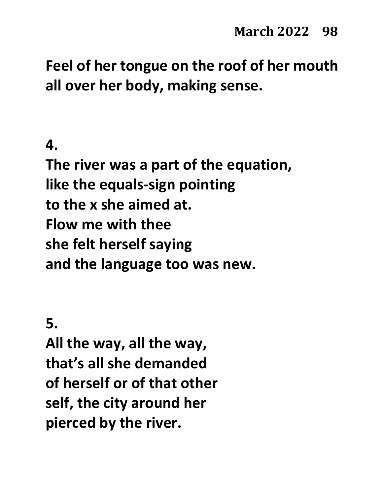**Feel of her tongue on the roof of her mouth all over her body, making sense.**

#### **4.**

**The river was a part of the equation, like the equals-sign pointing to the x she aimed at. Flow me with thee she felt herself saying and the language too was new.**

**5.**

**All the way, all the way, that's all she demanded of herself or of that other self, the city around her pierced by the river.**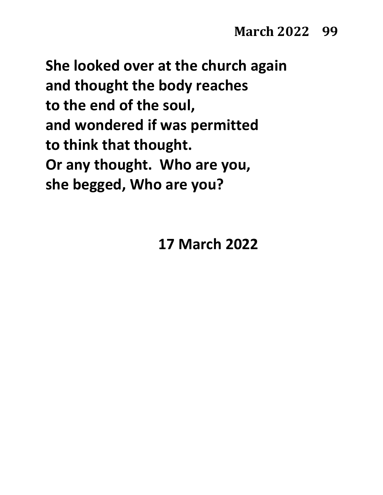**She looked over at the church again and thought the body reaches to the end of the soul, and wondered if was permitted to think that thought. Or any thought. Who are you, she begged, Who are you?**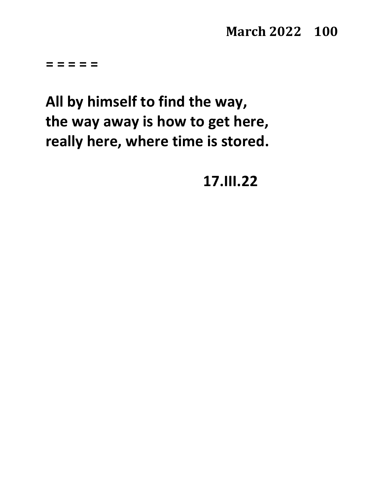**= = = = =**

# **All by himself to find the way, the way away is how to get here, really here, where time is stored.**

**17.III.22**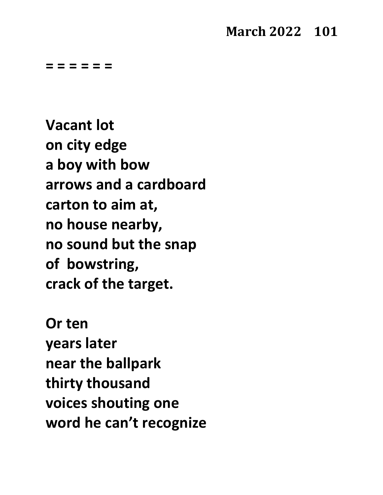#### **March 2022 101**

**= = = = = =**

**Vacant lot on city edge a boy with bow arrows and a cardboard carton to aim at, no house nearby, no sound but the snap of bowstring, crack of the target.**

**Or ten years later near the ballpark thirty thousand voices shouting one word he can't recognize**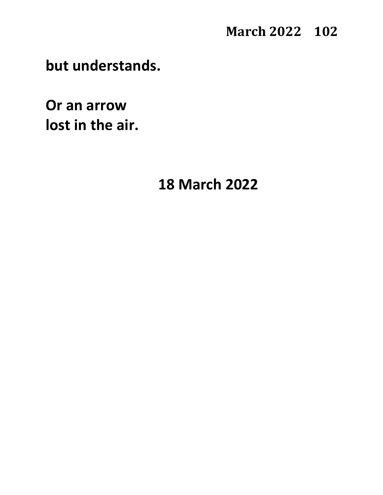#### **March 2022 102**

**but understands.**

**Or an arrow lost in the air.**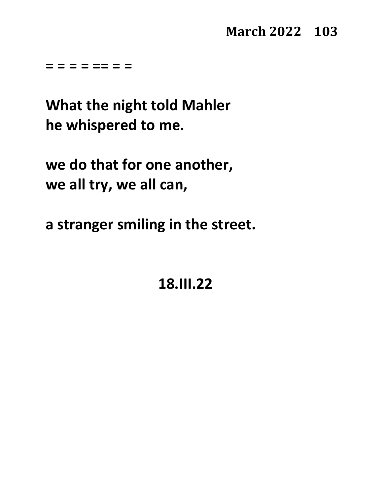**= = = = == = =**

**What the night told Mahler he whispered to me.**

**we do that for one another, we all try, we all can,**

**a stranger smiling in the street.**

**18.III.22**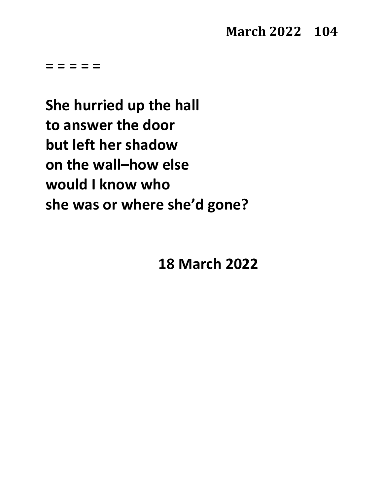**She hurried up the hall to answer the door but left her shadow on the wall–how else would I know who she was or where she'd gone?**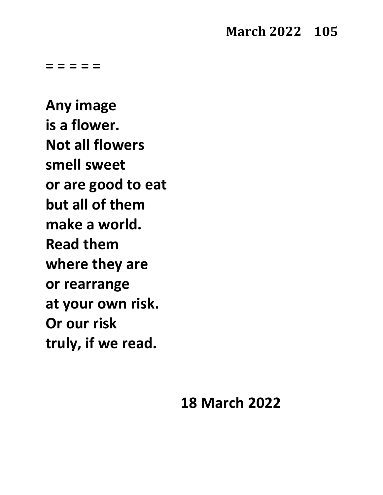#### **March 2022 105**

**= = = = =**

**Any image is a flower. Not all flowers smell sweet or are good to eat but all of them make a world. Read them where they are or rearrange at your own risk. Or our risk truly, if we read.**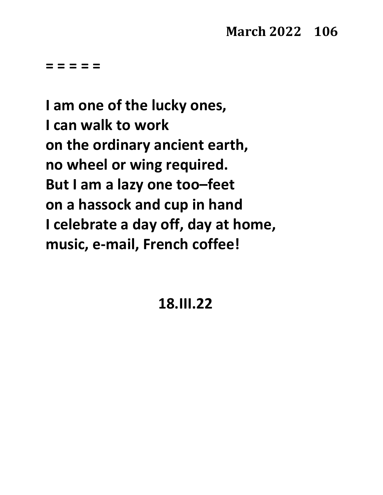**I am one of the lucky ones, I can walk to work on the ordinary ancient earth, no wheel or wing required. But I am a lazy one too–feet on a hassock and cup in hand I celebrate a day off, day at home, music, e-mail, French coffee!**

**18.III.22**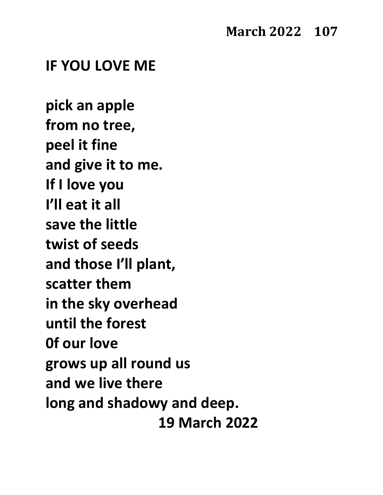#### **IF YOU LOVE ME**

**pick an apple from no tree, peel it fine and give it to me. If I love you I'll eat it all save the little twist of seeds and those I'll plant, scatter them in the sky overhead until the forest 0f our love grows up all round us and we live there long and shadowy and deep. 19 March 2022**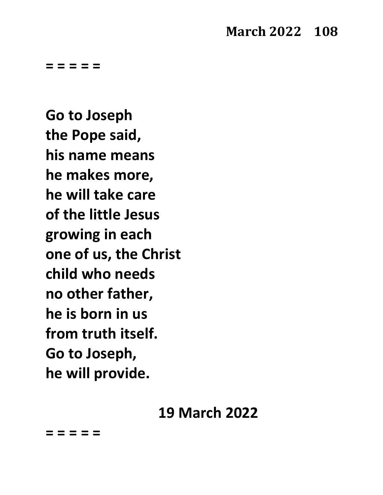**Go to Joseph the Pope said, his name means he makes more, he will take care of the little Jesus growing in each one of us, the Christ child who needs no other father, he is born in us from truth itself. Go to Joseph, he will provide.**

# **19 March 2022**

**= = = = =**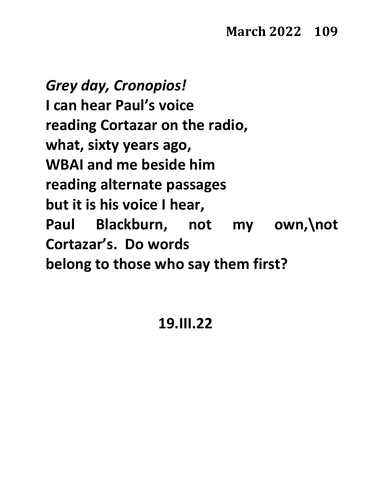*Grey day, Cronopios!* **I can hear Paul's voice reading Cortazar on the radio, what, sixty years ago, WBAI and me beside him reading alternate passages but it is his voice I hear, Paul Blackburn, not my own,\not Cortazar's. Do words belong to those who say them first?**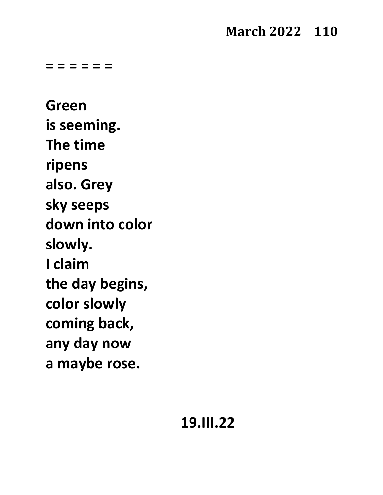# **March 2022 110**

**= = = = = =**

**Green is seeming. The time ripens also. Grey sky seeps down into color slowly. I claim the day begins, color slowly coming back, any day now a maybe rose.**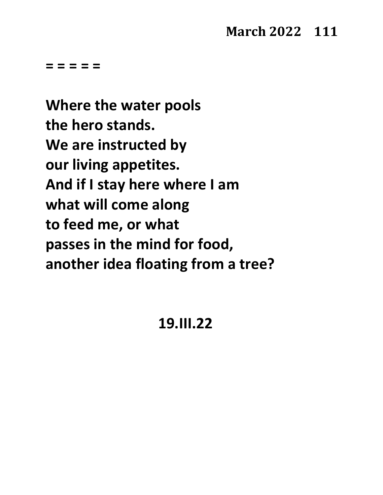#### **March 2022 111**

**= = = = =**

**Where the water pools the hero stands. We are instructed by our living appetites. And if I stay here where I am what will come along to feed me, or what passes in the mind for food, another idea floating from a tree?**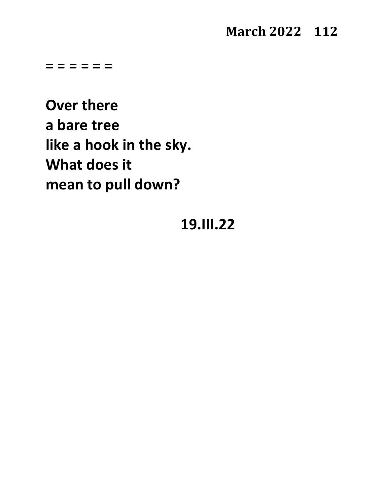#### **March 2022 112**

**= = = = = =**

**Over there a bare tree like a hook in the sky. What does it mean to pull down?**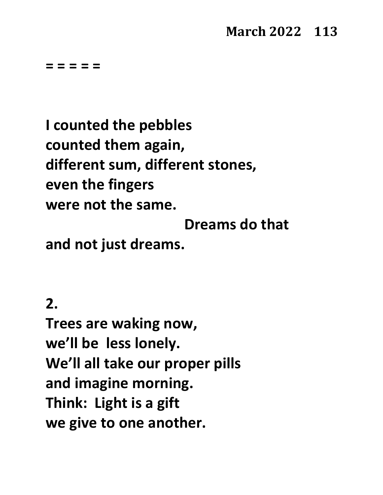#### **March 2022 113**

**= = = = =**

**I counted the pebbles counted them again, different sum, different stones, even the fingers were not the same.**

**Dreams do that**

**and not just dreams.**

**2.**

**Trees are waking now, we'll be less lonely. We'll all take our proper pills and imagine morning. Think: Light is a gift we give to one another.**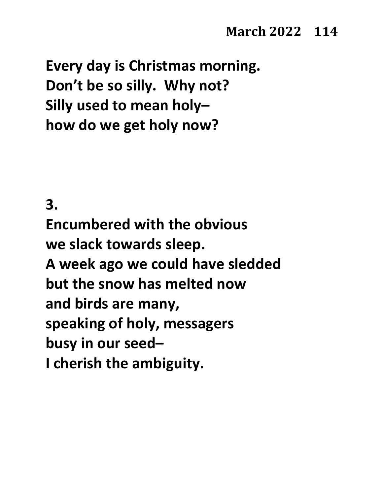**Every day is Christmas morning. Don't be so silly. Why not? Silly used to mean holy– how do we get holy now?**

#### **3.**

**Encumbered with the obvious we slack towards sleep. A week ago we could have sledded but the snow has melted now and birds are many, speaking of holy, messagers busy in our seed– I cherish the ambiguity.**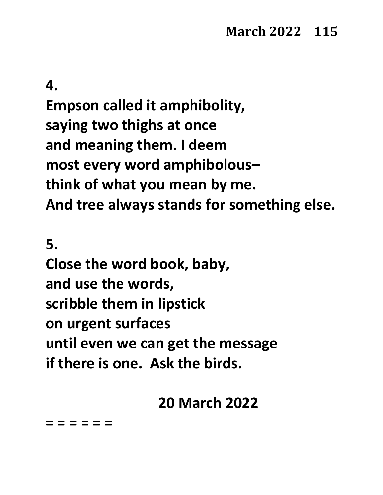#### **4.**

**Empson called it amphibolity, saying two thighs at once and meaning them. I deem most every word amphibolous– think of what you mean by me. And tree always stands for something else.**

**5.**

**Close the word book, baby, and use the words, scribble them in lipstick on urgent surfaces until even we can get the message if there is one. Ask the birds.**

#### **20 March 2022**

**= = = = = =**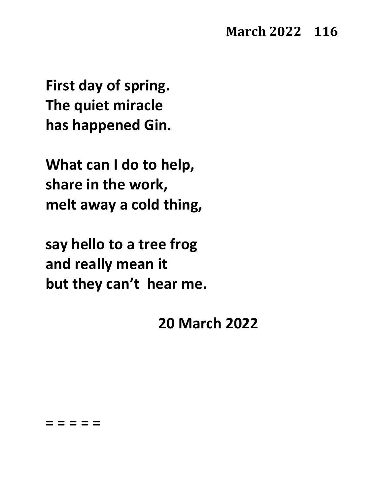**First day of spring. The quiet miracle has happened Gin.**

**What can I do to help, share in the work, melt away a cold thing,**

**say hello to a tree frog and really mean it but they can't hear me.**

#### **20 March 2022**

#### **= = = = =**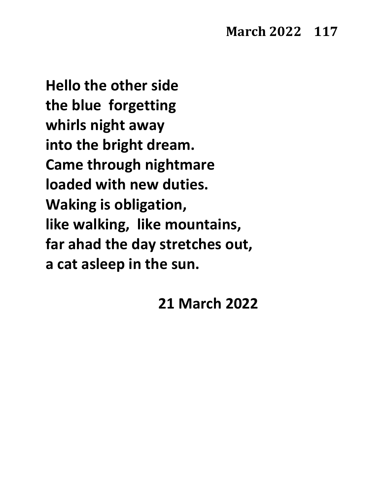**Hello the other side the blue forgetting whirls night away into the bright dream. Came through nightmare loaded with new duties. Waking is obligation, like walking, like mountains, far ahad the day stretches out, a cat asleep in the sun.**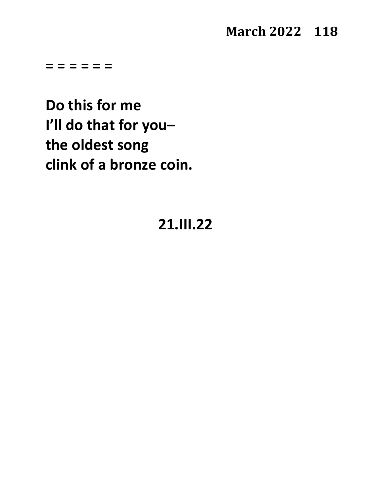#### **March 2022 118**

**= = = = = =**

**Do this for me I'll do that for you– the oldest song clink of a bronze coin.**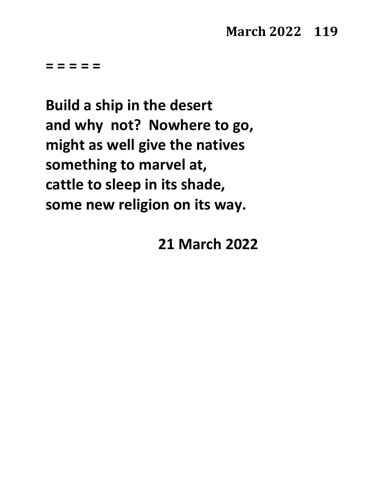**Build a ship in the desert and why not? Nowhere to go, might as well give the natives something to marvel at, cattle to sleep in its shade, some new religion on its way.**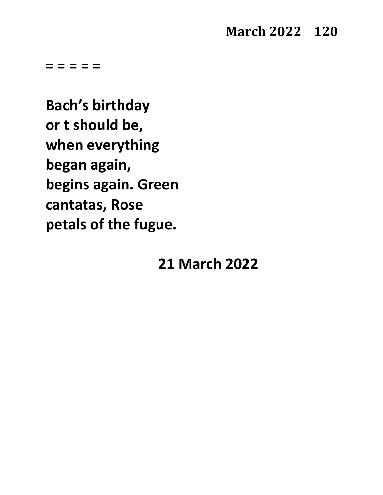**Bach's birthday or t should be, when everything began again, begins again. Green cantatas, Rose petals of the fugue.**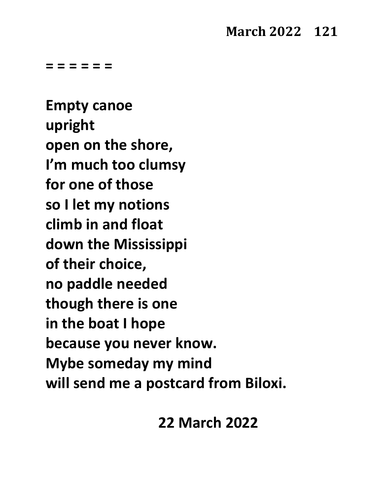#### **March 2022 121**

**= = = = = =**

**Empty canoe upright open on the shore, I'm much too clumsy for one of those so I let my notions climb in and float down the Mississippi of their choice, no paddle needed though there is one in the boat I hope because you never know. Mybe someday my mind will send me a postcard from Biloxi.**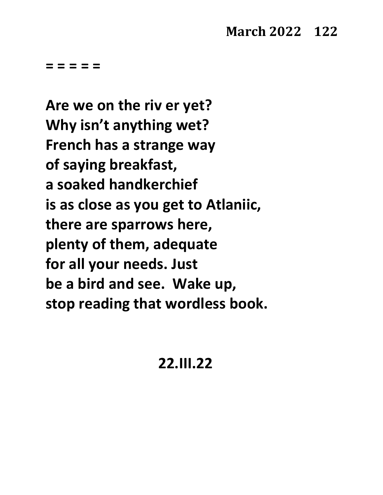**Are we on the riv er yet? Why isn't anything wet? French has a strange way of saying breakfast, a soaked handkerchief is as close as you get to Atlaniic, there are sparrows here, plenty of them, adequate for all your needs. Just be a bird and see. Wake up, stop reading that wordless book.**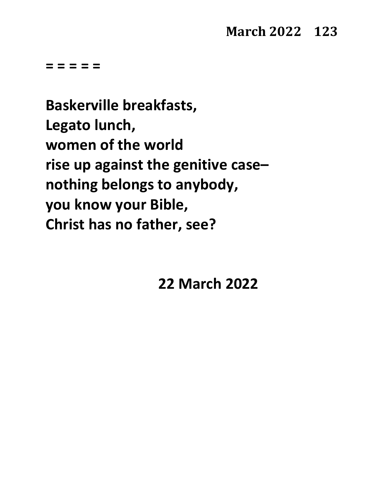**Baskerville breakfasts, Legato lunch, women of the world rise up against the genitive case– nothing belongs to anybody, you know your Bible, Christ has no father, see?**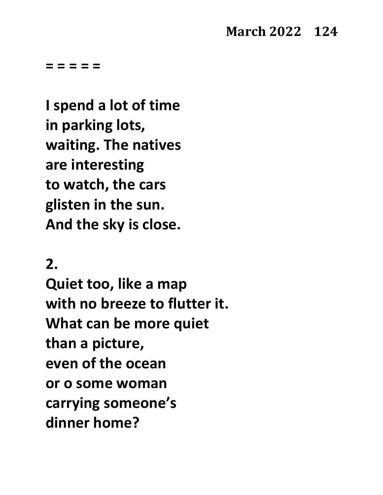#### **March 2022 124**

**= = = = =** 

**I spend a lot of time in parking lots, waiting. The natives are interesting to watch, the cars glisten in the sun. And the sky is close.**

#### **2.**

**Quiet too, like a map with no breeze to flutter it. What can be more quiet than a picture, even of the ocean or o some woman carrying someone's dinner home?**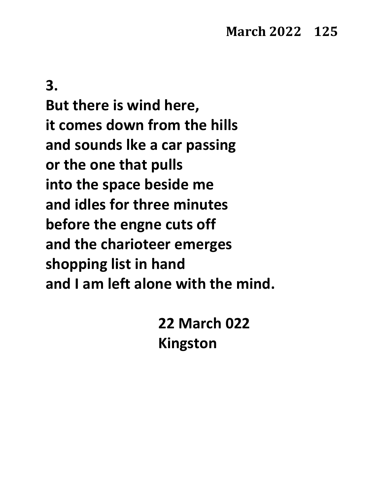**3.**

**But there is wind here, it comes down from the hills and sounds lke a car passing or the one that pulls into the space beside me and idles for three minutes before the engne cuts off and the charioteer emerges shopping list in hand and I am left alone with the mind.**

> **22 March 022 Kingston**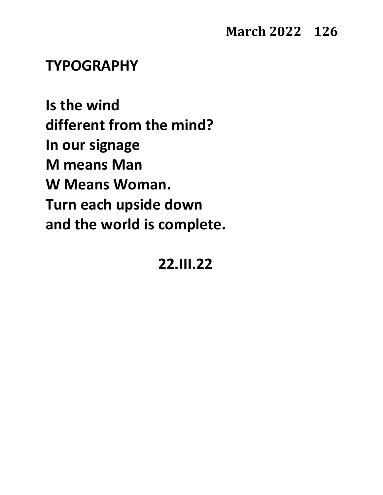#### **TYPOGRAPHY**

**Is the wind different from the mind? In our signage M means Man W Means Woman. Turn each upside down and the world is complete.**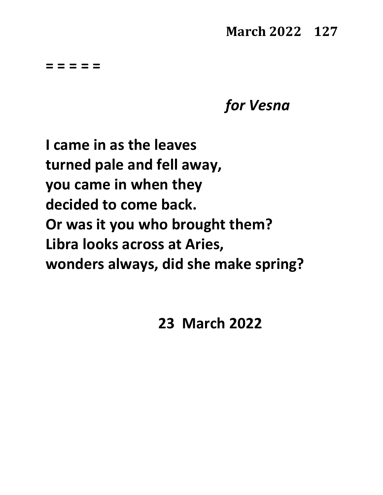#### **March 2022 127**

**= = = = =**

*for Vesna*

**I came in as the leaves turned pale and fell away, you came in when they decided to come back. Or was it you who brought them? Libra looks across at Aries, wonders always, did she make spring?**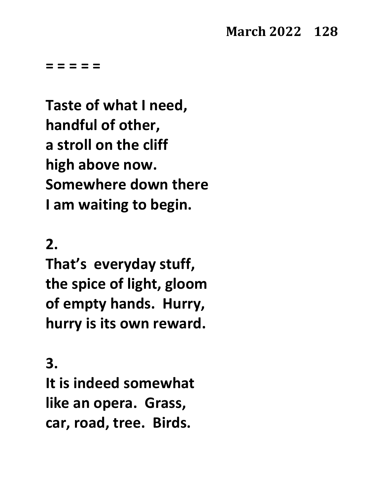**Taste of what I need, handful of other, a stroll on the cliff high above now. Somewhere down there I am waiting to begin.**

#### **2.**

**That's everyday stuff, the spice of light, gloom of empty hands. Hurry, hurry is its own reward.**

**3.**

**It is indeed somewhat like an opera. Grass, car, road, tree. Birds.**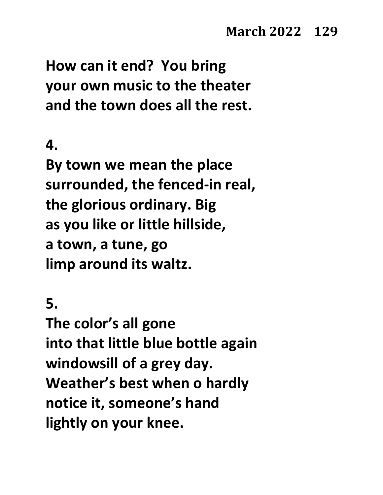**How can it end? You bring your own music to the theater and the town does all the rest.**

#### **4.**

**By town we mean the place surrounded, the fenced-in real, the glorious ordinary. Big as you like or little hillside, a town, a tune, go limp around its waltz.**

**5.**

**The color's all gone into that little blue bottle again windowsill of a grey day. Weather's best when o hardly notice it, someone's hand lightly on your knee.**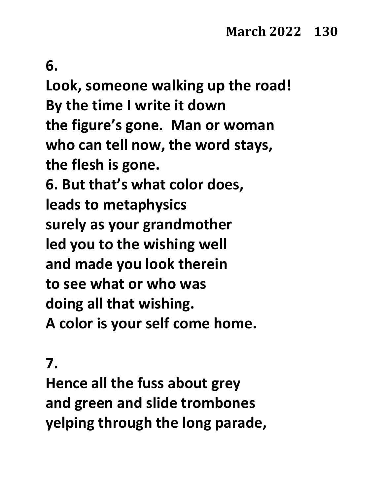**6.**

**Look, someone walking up the road! By the time I write it down the figure's gone. Man or woman who can tell now, the word stays, the flesh is gone. 6. But that's what color does, leads to metaphysics surely as your grandmother led you to the wishing well and made you look therein to see what or who was doing all that wishing. A color is your self come home.**

#### **7.**

**Hence all the fuss about grey and green and slide trombones yelping through the long parade,**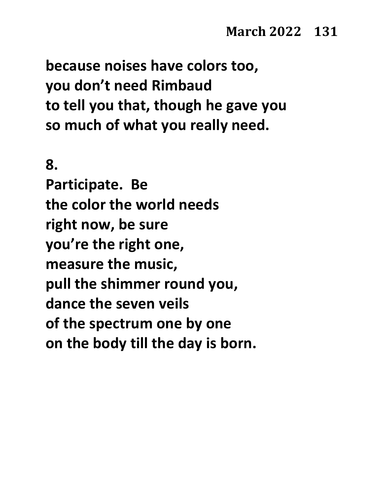**because noises have colors too, you don't need Rimbaud to tell you that, though he gave you so much of what you really need.**

**8.**

**Participate. Be the color the world needs right now, be sure you're the right one, measure the music, pull the shimmer round you, dance the seven veils of the spectrum one by one on the body till the day is born.**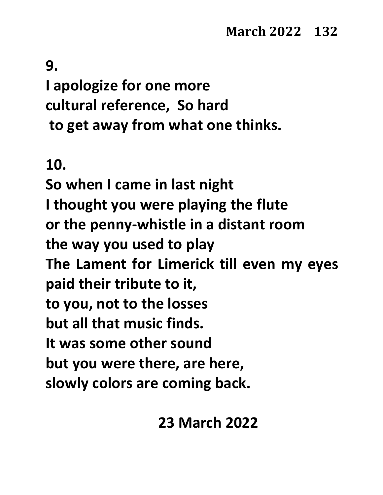# **9. I apologize for one more cultural reference, So hard to get away from what one thinks.**

# **10.**

**So when I came in last night I thought you were playing the flute or the penny-whistle in a distant room the way you used to play The Lament for Limerick till even my eyes paid their tribute to it, to you, not to the losses but all that music finds. It was some other sound but you were there, are here, slowly colors are coming back.**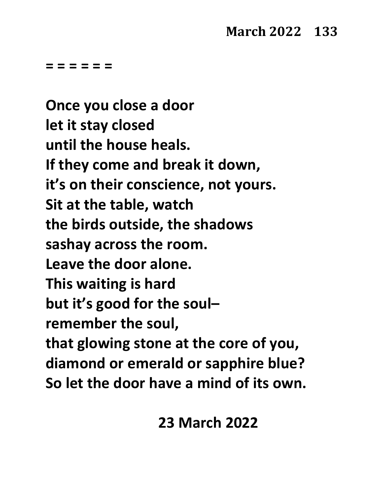**= = = = = =**

**Once you close a door let it stay closed until the house heals. If they come and break it down, it's on their conscience, not yours. Sit at the table, watch the birds outside, the shadows sashay across the room. Leave the door alone. This waiting is hard but it's good for the soul– remember the soul, that glowing stone at the core of you, diamond or emerald or sapphire blue? So let the door have a mind of its own.**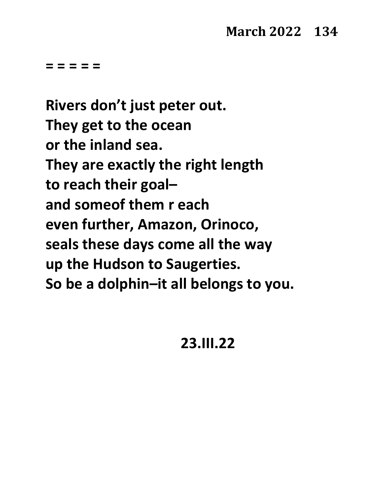**Rivers don't just peter out. They get to the ocean or the inland sea. They are exactly the right length to reach their goal– and someof them r each even further, Amazon, Orinoco, seals these days come all the way up the Hudson to Saugerties. So be a dolphin–it all belongs to you.**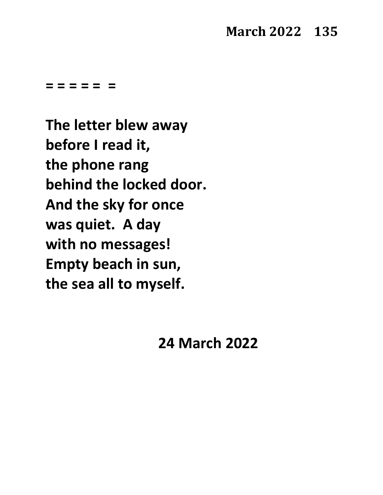#### **March 2022 135**

**= = = = = =**

**The letter blew away before I read it, the phone rang behind the locked door. And the sky for once was quiet. A day with no messages! Empty beach in sun, the sea all to myself.**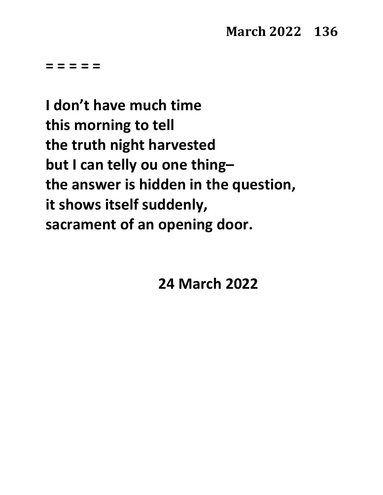**I don't have much time this morning to tell the truth night harvested but I can telly ou one thing– the answer is hidden in the question, it shows itself suddenly, sacrament of an opening door.**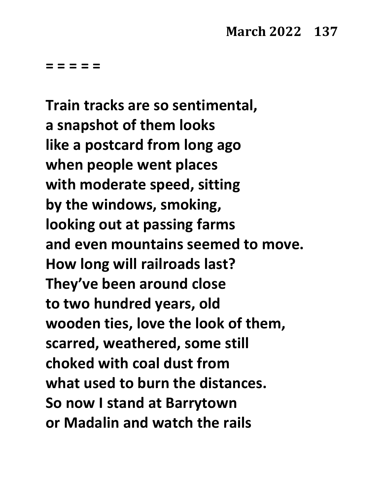**Train tracks are so sentimental, a snapshot of them looks like a postcard from long ago when people went places with moderate speed, sitting by the windows, smoking, looking out at passing farms and even mountains seemed to move. How long will railroads last? They've been around close to two hundred years, old wooden ties, love the look of them, scarred, weathered, some still choked with coal dust from what used to burn the distances. So now I stand at Barrytown or Madalin and watch the rails**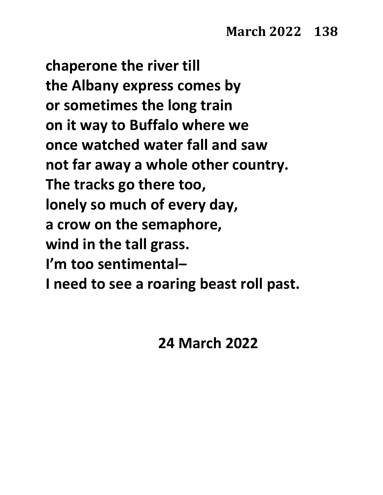**chaperone the river till the Albany express comes by or sometimes the long train on it way to Buffalo where we once watched water fall and saw not far away a whole other country. The tracks go there too, lonely so much of every day, a crow on the semaphore, wind in the tall grass. I'm too sentimental– I need to see a roaring beast roll past.**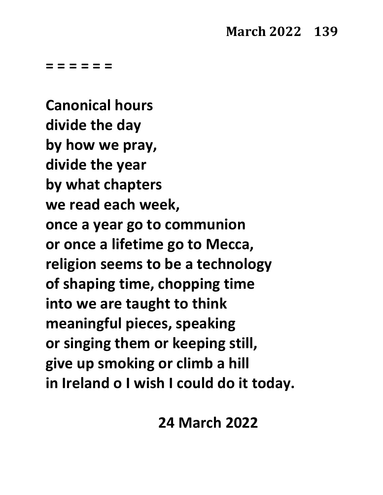**= = = = = =**

**Canonical hours divide the day by how we pray, divide the year by what chapters we read each week, once a year go to communion or once a lifetime go to Mecca, religion seems to be a technology of shaping time, chopping time into we are taught to think meaningful pieces, speaking or singing them or keeping still, give up smoking or climb a hill in Ireland o I wish I could do it today.**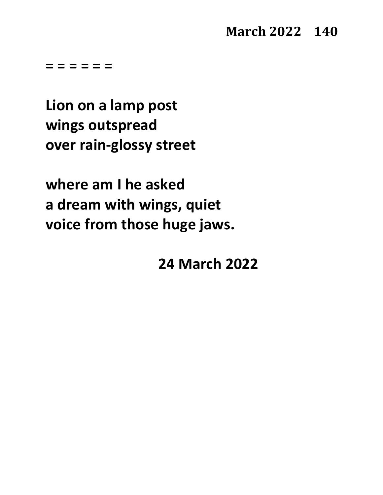**= = = = = =**

**Lion on a lamp post wings outspread over rain-glossy street**

**where am I he asked a dream with wings, quiet voice from those huge jaws.**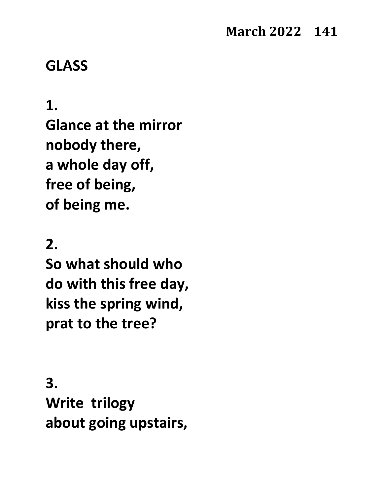#### **GLASS**

#### **1.**

**Glance at the mirror nobody there, a whole day off, free of being, of being me.**

#### **2.**

**So what should who do with this free day, kiss the spring wind, prat to the tree?**

**3. Write trilogy about going upstairs,**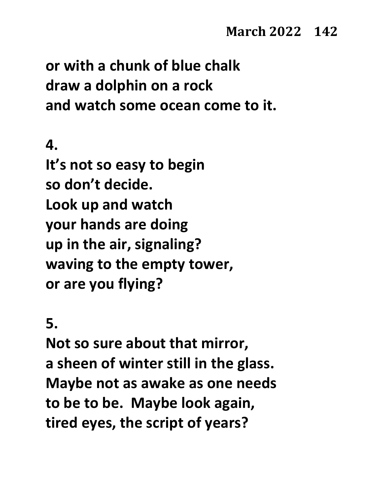**or with a chunk of blue chalk draw a dolphin on a rock and watch some ocean come to it.**

**4.**

**It's not so easy to begin so don't decide. Look up and watch your hands are doing up in the air, signaling? waving to the empty tower, or are you flying?**

**5.**

**Not so sure about that mirror, a sheen of winter still in the glass. Maybe not as awake as one needs to be to be. Maybe look again, tired eyes, the script of years?**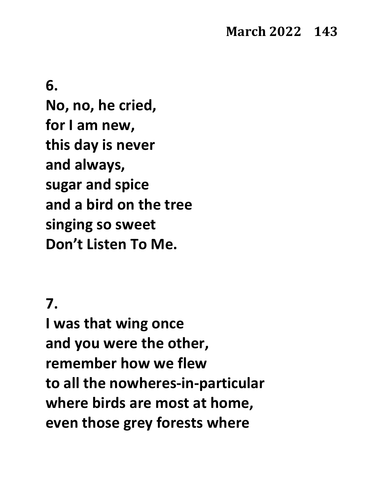**6.**

**No, no, he cried, for I am new, this day is never and always, sugar and spice and a bird on the tree singing so sweet Don't Listen To Me.**

#### **7.**

**I was that wing once and you were the other, remember how we flew to all the nowheres-in-particular where birds are most at home, even those grey forests where**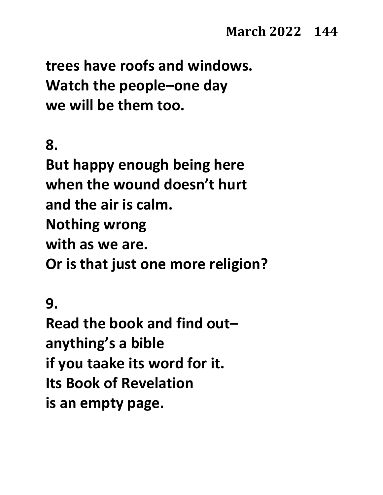**trees have roofs and windows. Watch the people–one day we will be them too.**

**8.**

**But happy enough being here when the wound doesn't hurt and the air is calm. Nothing wrong with as we are. Or is that just one more religion?**

**9.**

**Read the book and find out– anything's a bible if you taake its word for it. Its Book of Revelation is an empty page.**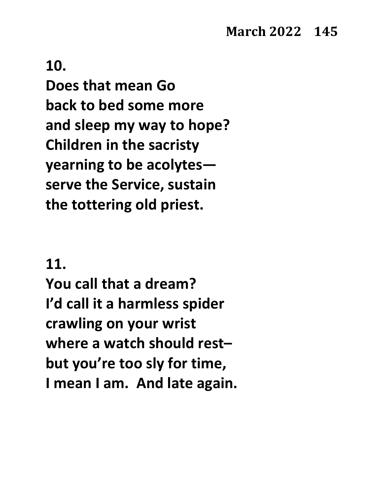**Does that mean Go back to bed some more and sleep my way to hope? Children in the sacristy yearning to be acolytes serve the Service, sustain the tottering old priest.**

#### **11.**

**You call that a dream? I'd call it a harmless spider crawling on your wrist where a watch should rest– but you're too sly for time, I mean I am. And late again.**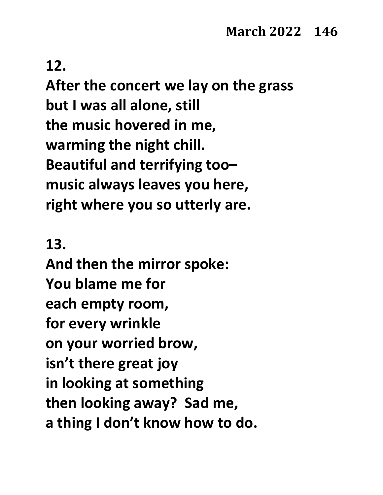**After the concert we lay on the grass but I was all alone, still the music hovered in me, warming the night chill. Beautiful and terrifying too– music always leaves you here, right where you so utterly are.**

#### **13.**

**And then the mirror spoke: You blame me for each empty room, for every wrinkle on your worried brow, isn't there great joy in looking at something then looking away? Sad me, a thing I don't know how to do.**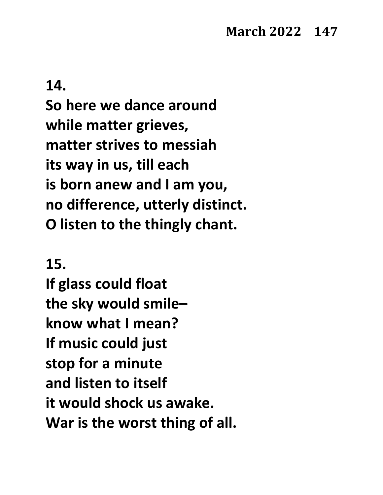**So here we dance around while matter grieves, matter strives to messiah its way in us, till each is born anew and I am you, no difference, utterly distinct. O listen to the thingly chant.**

#### **15.**

**If glass could float the sky would smile– know what I mean? If music could just stop for a minute and listen to itself it would shock us awake. War is the worst thing of all.**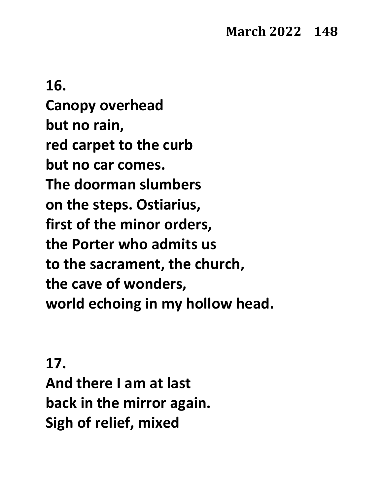# **16. Canopy overhead but no rain, red carpet to the curb but no car comes. The doorman slumbers on the steps. Ostiarius, first of the minor orders, the Porter who admits us to the sacrament, the church, the cave of wonders, world echoing in my hollow head.**

#### **17.**

**And there I am at last back in the mirror again. Sigh of relief, mixed**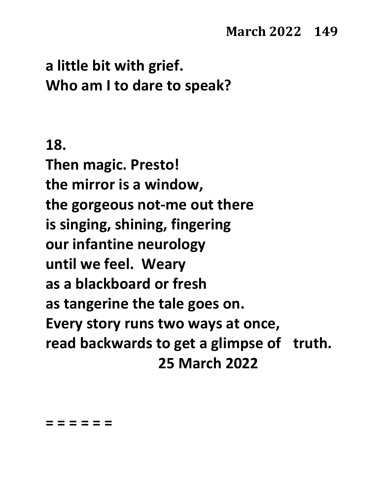## **a little bit with grief. Who am I to dare to speak?**

#### **18.**

**Then magic. Presto! the mirror is a window, the gorgeous not-me out there is singing, shining, fingering our infantine neurology until we feel. Weary as a blackboard or fresh as tangerine the tale goes on. Every story runs two ways at once, read backwards to get a glimpse of truth. 25 March 2022**

#### **= = = = = =**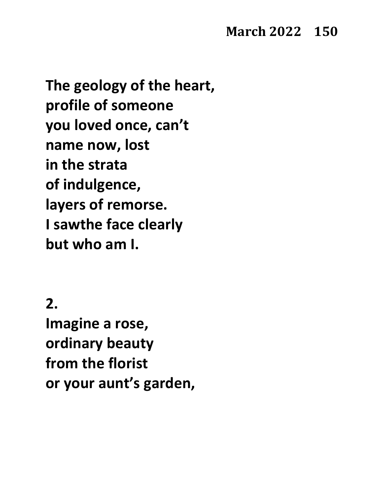#### **March 2022 150**

**The geology of the heart, profile of someone you loved once, can't name now, lost in the strata of indulgence, layers of remorse. I sawthe face clearly but who am I.**

**2.**

**Imagine a rose, ordinary beauty from the florist or your aunt's garden,**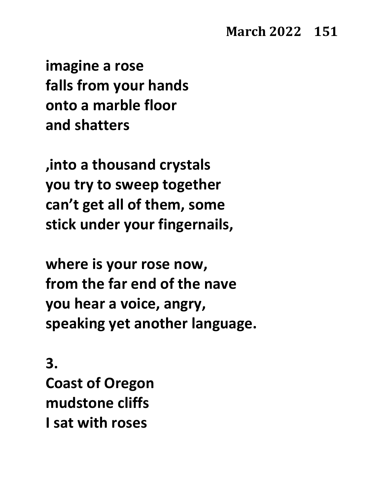**imagine a rose falls from your hands onto a marble floor and shatters**

**,into a thousand crystals you try to sweep together can't get all of them, some stick under your fingernails,**

**where is your rose now, from the far end of the nave you hear a voice, angry, speaking yet another language.**

**3. Coast of Oregon mudstone cliffs I sat with roses**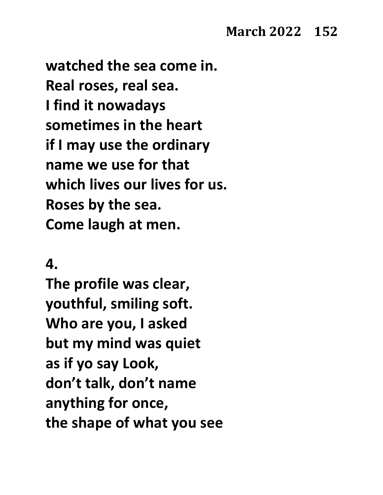**watched the sea come in. Real roses, real sea. I find it nowadays sometimes in the heart if I may use the ordinary name we use for that which lives our lives for us. Roses by the sea. Come laugh at men.**

#### **4.**

**The profile was clear, youthful, smiling soft. Who are you, I asked but my mind was quiet as if yo say Look, don't talk, don't name anything for once, the shape of what you see**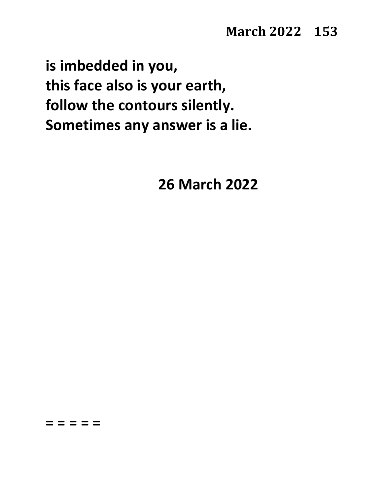**is imbedded in you, this face also is your earth, follow the contours silently. Sometimes any answer is a lie.**

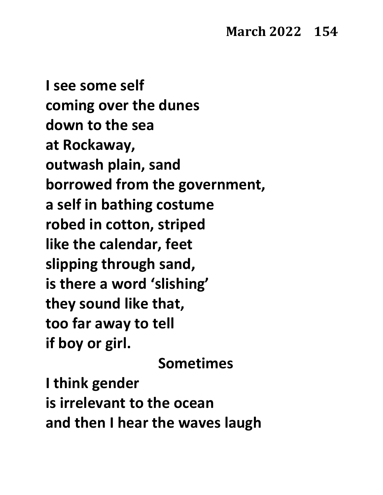**I see some self coming over the dunes down to the sea at Rockaway, outwash plain, sand borrowed from the government, a self in bathing costume robed in cotton, striped like the calendar, feet slipping through sand, is there a word 'slishing' they sound like that, too far away to tell if boy or girl.**

**Sometimes**

**I think gender is irrelevant to the ocean and then I hear the waves laugh**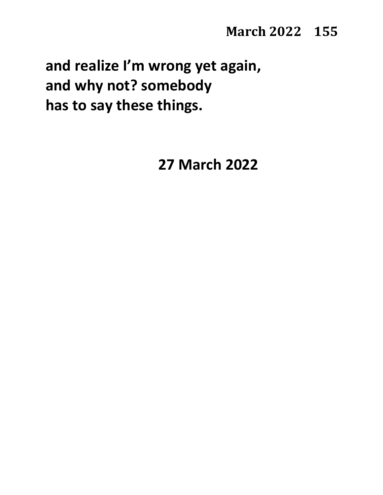**and realize I'm wrong yet again, and why not? somebody has to say these things.**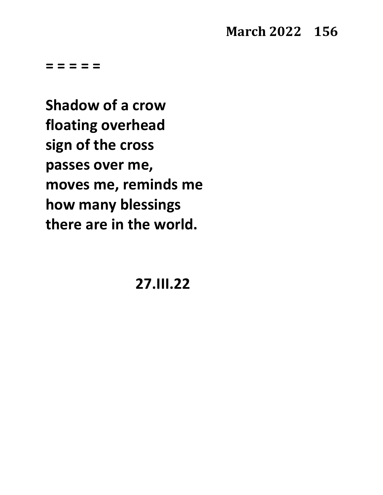#### **March 2022 156**

**= = = = =**

**Shadow of a crow floating overhead sign of the cross passes over me, moves me, reminds me how many blessings there are in the world.**

**27.III.22**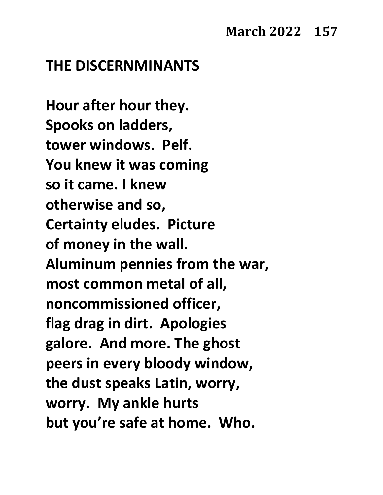#### **THE DISCERNMINANTS**

**Hour after hour they. Spooks on ladders, tower windows. Pelf. You knew it was coming so it came. I knew otherwise and so, Certainty eludes. Picture of money in the wall. Aluminum pennies from the war, most common metal of all, noncommissioned officer, flag drag in dirt. Apologies galore. And more. The ghost peers in every bloody window, the dust speaks Latin, worry, worry. My ankle hurts but you're safe at home. Who.**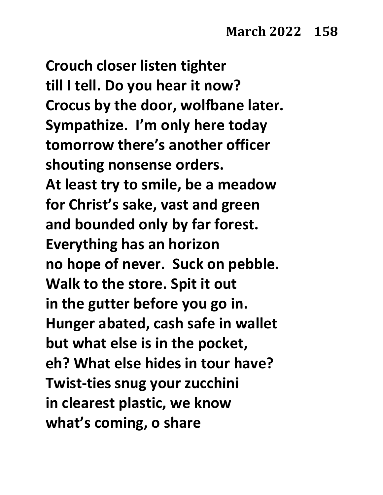**Crouch closer listen tighter till I tell. Do you hear it now? Crocus by the door, wolfbane later. Sympathize. I'm only here today tomorrow there's another officer shouting nonsense orders. At least try to smile, be a meadow for Christ's sake, vast and green and bounded only by far forest. Everything has an horizon no hope of never. Suck on pebble. Walk to the store. Spit it out in the gutter before you go in. Hunger abated, cash safe in wallet but what else is in the pocket, eh? What else hides in tour have? Twist-ties snug your zucchini in clearest plastic, we know what's coming, o share**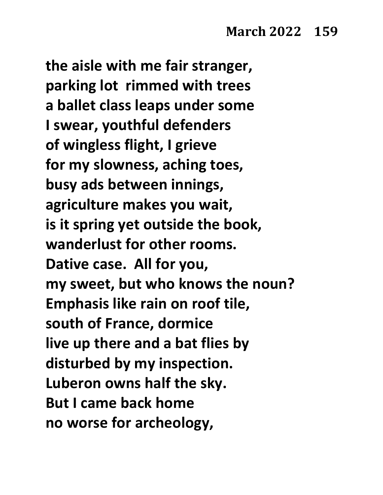**the aisle with me fair stranger, parking lot rimmed with trees a ballet class leaps under some I swear, youthful defenders of wingless flight, I grieve for my slowness, aching toes, busy ads between innings, agriculture makes you wait, is it spring yet outside the book, wanderlust for other rooms. Dative case. All for you, my sweet, but who knows the noun? Emphasis like rain on roof tile, south of France, dormice live up there and a bat flies by disturbed by my inspection. Luberon owns half the sky. But I came back home no worse for archeology,**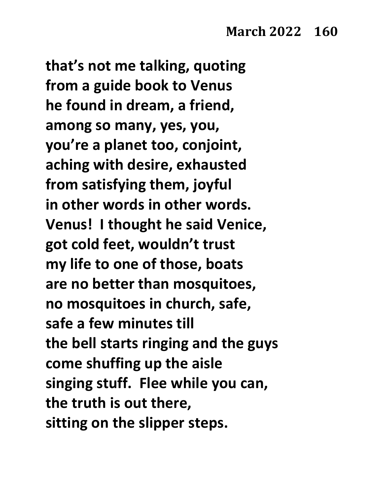**that's not me talking, quoting from a guide book to Venus he found in dream, a friend, among so many, yes, you, you're a planet too, conjoint, aching with desire, exhausted from satisfying them, joyful in other words in other words. Venus! I thought he said Venice, got cold feet, wouldn't trust my life to one of those, boats are no better than mosquitoes, no mosquitoes in church, safe, safe a few minutes till the bell starts ringing and the guys come shuffing up the aisle singing stuff. Flee while you can, the truth is out there, sitting on the slipper steps.**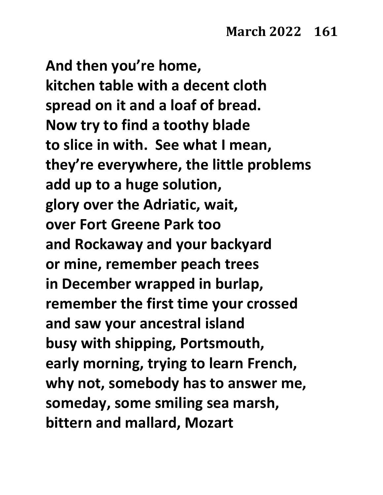**And then you're home, kitchen table with a decent cloth spread on it and a loaf of bread. Now try to find a toothy blade to slice in with. See what I mean, they're everywhere, the little problems add up to a huge solution, glory over the Adriatic, wait, over Fort Greene Park too and Rockaway and your backyard or mine, remember peach trees in December wrapped in burlap, remember the first time your crossed and saw your ancestral island busy with shipping, Portsmouth, early morning, trying to learn French, why not, somebody has to answer me, someday, some smiling sea marsh, bittern and mallard, Mozart**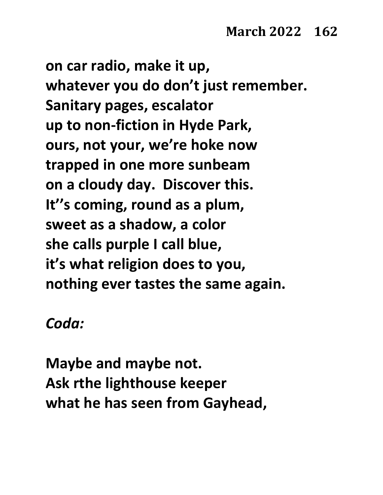**on car radio, make it up, whatever you do don't just remember. Sanitary pages, escalator up to non-fiction in Hyde Park, ours, not your, we're hoke now trapped in one more sunbeam on a cloudy day. Discover this. It''s coming, round as a plum, sweet as a shadow, a color she calls purple I call blue, it's what religion does to you, nothing ever tastes the same again.**

*Coda:*

**Maybe and maybe not. Ask rthe lighthouse keeper what he has seen from Gayhead,**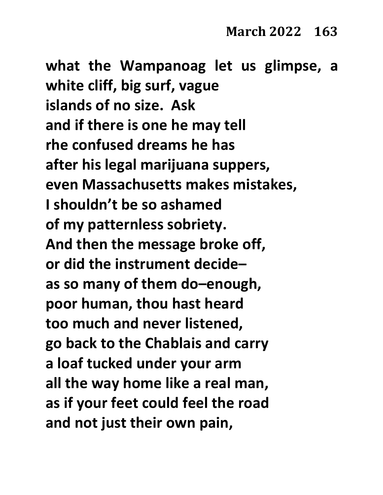**what the Wampanoag let us glimpse, a white cliff, big surf, vague islands of no size. Ask and if there is one he may tell rhe confused dreams he has after his legal marijuana suppers, even Massachusetts makes mistakes, I shouldn't be so ashamed of my patternless sobriety. And then the message broke off, or did the instrument decide– as so many of them do–enough, poor human, thou hast heard too much and never listened, go back to the Chablais and carry a loaf tucked under your arm all the way home like a real man, as if your feet could feel the road and not just their own pain,**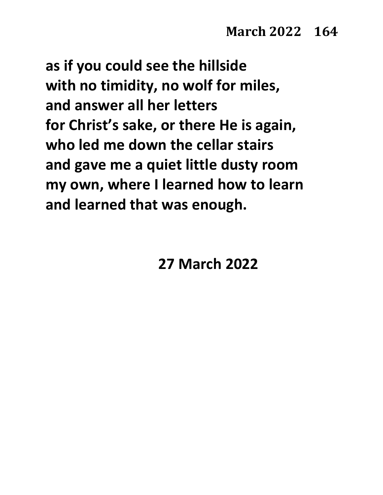**as if you could see the hillside with no timidity, no wolf for miles, and answer all her letters for Christ's sake, or there He is again, who led me down the cellar stairs and gave me a quiet little dusty room my own, where I learned how to learn and learned that was enough.**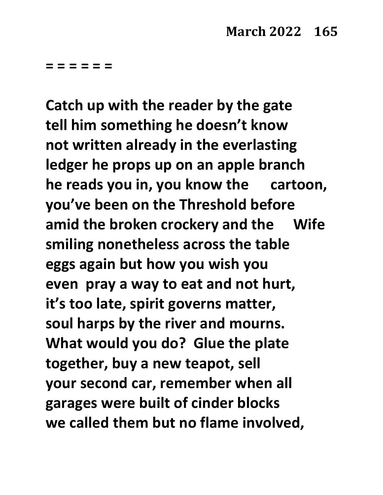**= = = = = =**

**Catch up with the reader by the gate tell him something he doesn't know not written already in the everlasting ledger he props up on an apple branch he reads you in, you know the cartoon, you've been on the Threshold before amid the broken crockery and the Wife smiling nonetheless across the table eggs again but how you wish you even pray a way to eat and not hurt, it's too late, spirit governs matter, soul harps by the river and mourns. What would you do? Glue the plate together, buy a new teapot, sell your second car, remember when all garages were built of cinder blocks we called them but no flame involved,**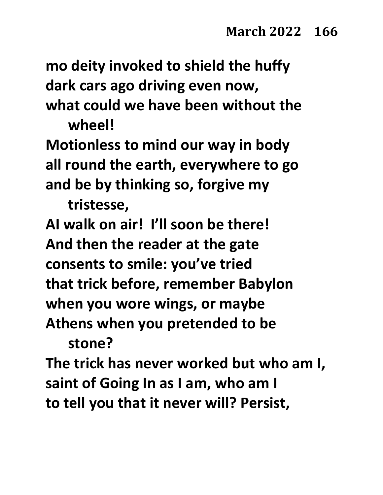**mo deity invoked to shield the huffy dark cars ago driving even now,**

**what could we have been without the wheel!**

**Motionless to mind our way in body all round the earth, everywhere to go and be by thinking so, forgive my** 

**tristesse,**

**AI walk on air! I'll soon be there! And then the reader at the gate consents to smile: you've tried that trick before, remember Babylon when you wore wings, or maybe Athens when you pretended to be** 

**stone?**

**The trick has never worked but who am I, saint of Going In as I am, who am I to tell you that it never will? Persist,**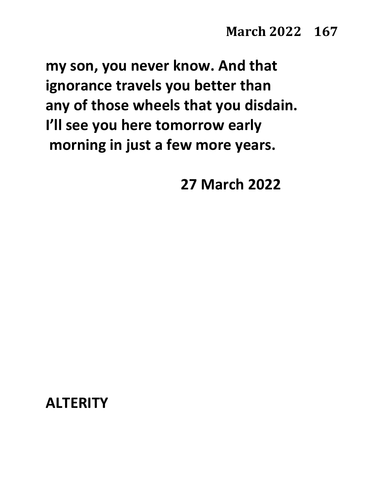**my son, you never know. And that ignorance travels you better than any of those wheels that you disdain. I'll see you here tomorrow early morning in just a few more years.**

**27 March 2022**

**ALTERITY**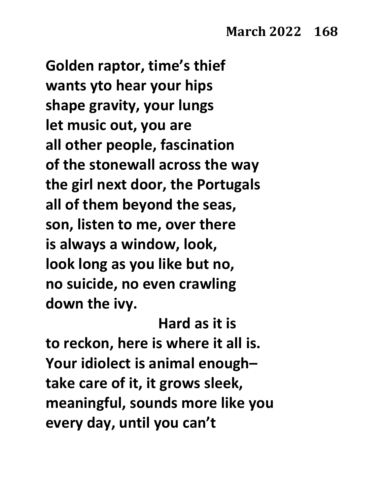**Golden raptor, time's thief wants yto hear your hips shape gravity, your lungs let music out, you are all other people, fascination of the stonewall across the way the girl next door, the Portugals all of them beyond the seas, son, listen to me, over there is always a window, look, look long as you like but no, no suicide, no even crawling down the ivy.** 

**Hard as it is to reckon, here is where it all is. Your idiolect is animal enough– take care of it, it grows sleek, meaningful, sounds more like you every day, until you can't**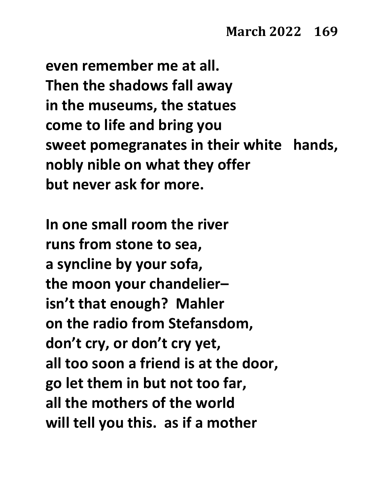**even remember me at all. Then the shadows fall away in the museums, the statues come to life and bring you sweet pomegranates in their white hands, nobly nible on what they offer but never ask for more.** 

**In one small room the river runs from stone to sea, a syncline by your sofa, the moon your chandelier– isn't that enough? Mahler on the radio from Stefansdom, don't cry, or don't cry yet, all too soon a friend is at the door, go let them in but not too far, all the mothers of the world will tell you this. as if a mother**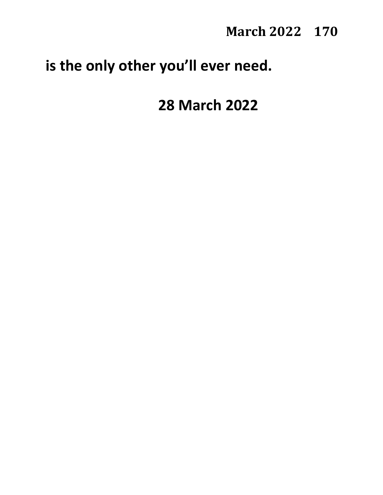**March 2022 170** 

## **is the only other you'll ever need.**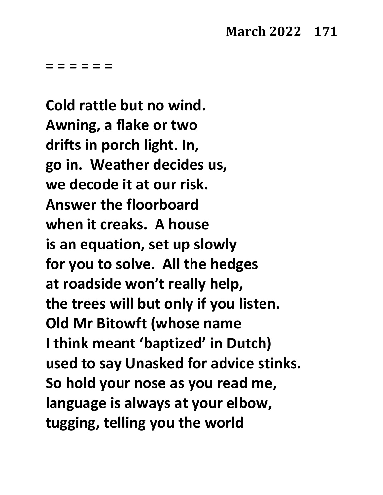**= = = = = =**

**Cold rattle but no wind. Awning, a flake or two drifts in porch light. In, go in. Weather decides us, we decode it at our risk. Answer the floorboard when it creaks. A house is an equation, set up slowly for you to solve. All the hedges at roadside won't really help, the trees will but only if you listen. Old Mr Bitowft (whose name I think meant 'baptized' in Dutch) used to say Unasked for advice stinks. So hold your nose as you read me, language is always at your elbow, tugging, telling you the world**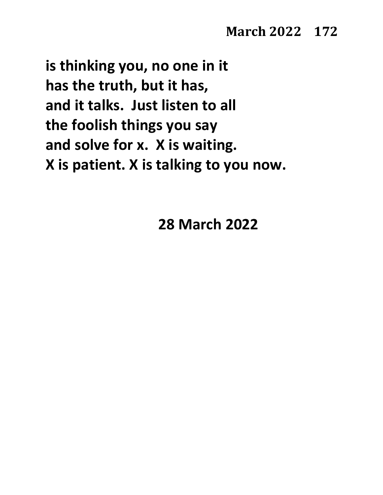**is thinking you, no one in it has the truth, but it has, and it talks. Just listen to all the foolish things you say and solve for x. X is waiting. X is patient. X is talking to you now.**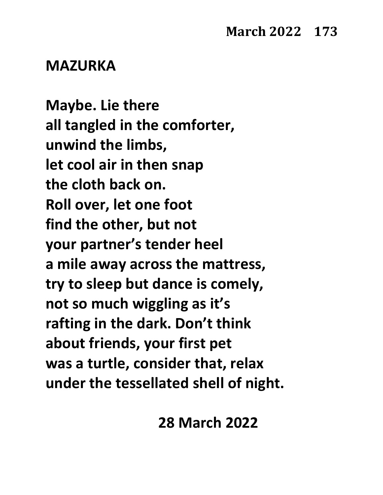#### **MAZURKA**

**Maybe. Lie there all tangled in the comforter, unwind the limbs, let cool air in then snap the cloth back on. Roll over, let one foot find the other, but not your partner's tender heel a mile away across the mattress, try to sleep but dance is comely, not so much wiggling as it's rafting in the dark. Don't think about friends, your first pet was a turtle, consider that, relax under the tessellated shell of night.**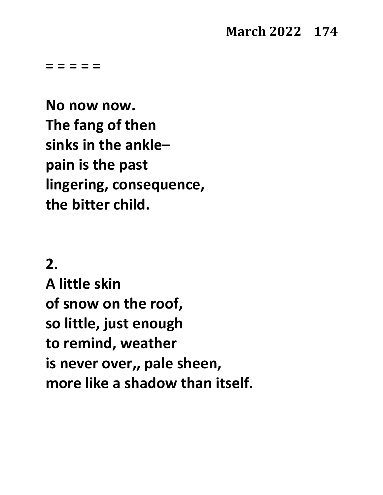#### **March 2022 174**

**= = = = =** 

**No now now. The fang of then sinks in the ankle– pain is the past lingering, consequence, the bitter child.**

**2.**

**A little skin of snow on the roof, so little, just enough to remind, weather is never over,, pale sheen, more like a shadow than itself.**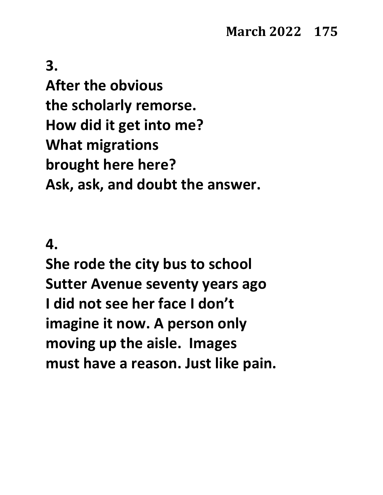**After the obvious the scholarly remorse. How did it get into me? What migrations brought here here? Ask, ask, and doubt the answer.**

#### **4.**

**She rode the city bus to school Sutter Avenue seventy years ago I did not see her face I don't imagine it now. A person only moving up the aisle. Images must have a reason. Just like pain.**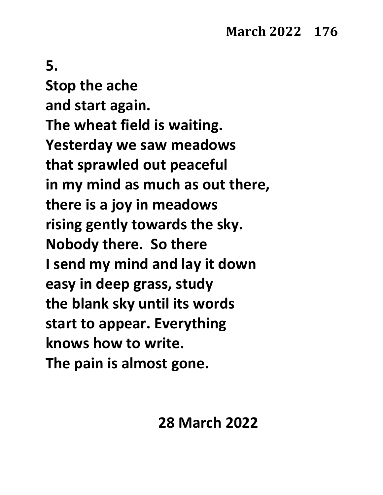**Stop the ache and start again. The wheat field is waiting. Yesterday we saw meadows that sprawled out peaceful in my mind as much as out there, there is a joy in meadows rising gently towards the sky. Nobody there. So there I send my mind and lay it down easy in deep grass, study the blank sky until its words start to appear. Everything knows how to write. The pain is almost gone.**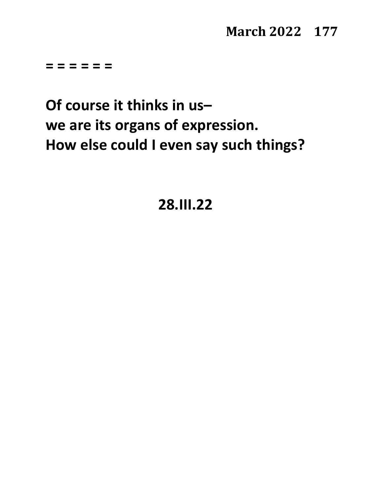#### **March 2022 177**

**= = = = = =**

**Of course it thinks in us– we are its organs of expression. How else could I even say such things?**

**28.III.22**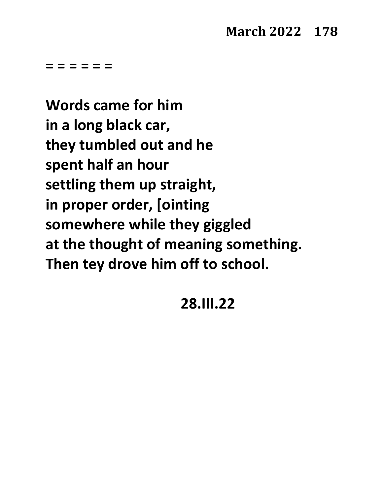**= = = = = =**

**Words came for him in a long black car, they tumbled out and he spent half an hour settling them up straight, in proper order, [ointing somewhere while they giggled at the thought of meaning something. Then tey drove him off to school.**

#### **28.III.22**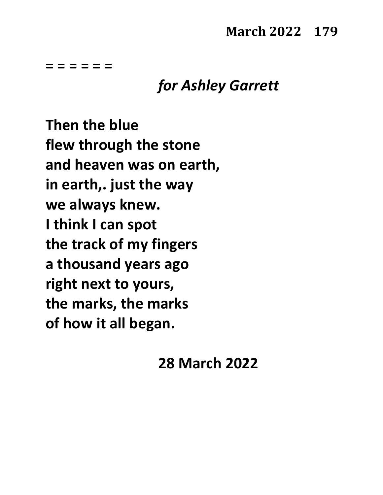**= = = = = =**

### *for Ashley Garrett*

**Then the blue flew through the stone and heaven was on earth, in earth,. just the way we always knew. I think I can spot the track of my fingers a thousand years ago right next to yours, the marks, the marks of how it all began.**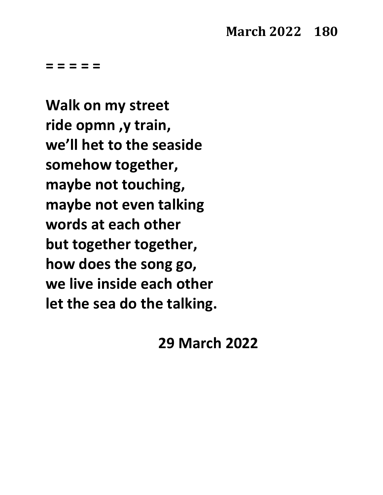**Walk on my street ride opmn ,y train, we'll het to the seaside somehow together, maybe not touching, maybe not even talking words at each other but together together, how does the song go, we live inside each other let the sea do the talking.**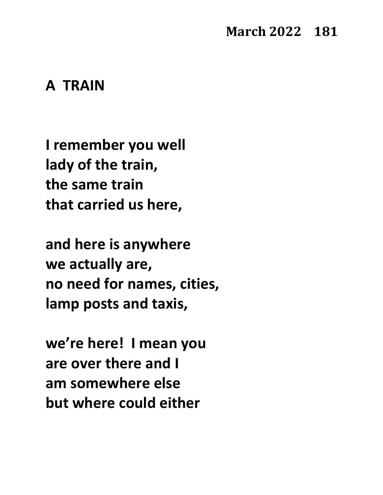### **March 2022 181**

# **A TRAIN**

**I remember you well lady of the train, the same train that carried us here,**

**and here is anywhere we actually are, no need for names, cities, lamp posts and taxis,**

**we're here! I mean you are over there and I am somewhere else but where could either**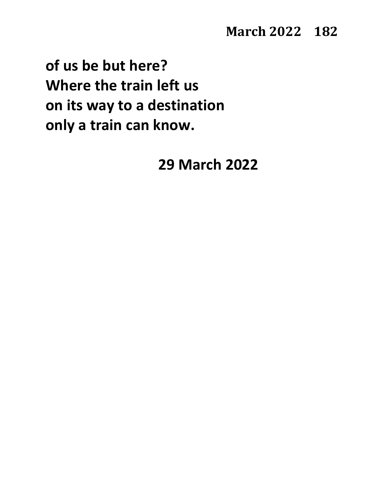**of us be but here? Where the train left us on its way to a destination only a train can know.**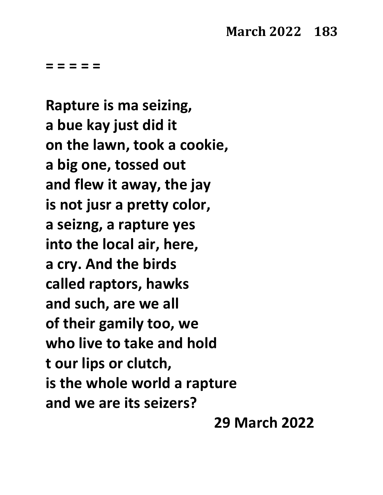**Rapture is ma seizing, a bue kay just did it on the lawn, took a cookie, a big one, tossed out and flew it away, the jay is not jusr a pretty color, a seizng, a rapture yes into the local air, here, a cry. And the birds called raptors, hawks and such, are we all of their gamily too, we who live to take and hold t our lips or clutch, is the whole world a rapture and we are its seizers?**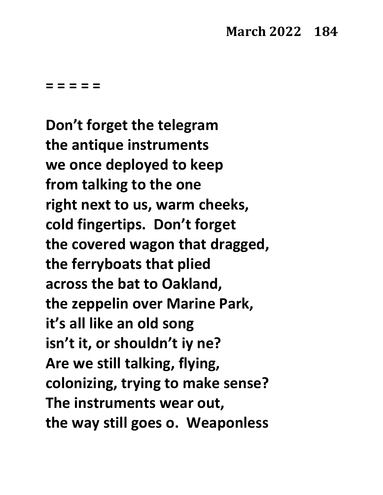**Don't forget the telegram the antique instruments we once deployed to keep from talking to the one right next to us, warm cheeks, cold fingertips. Don't forget the covered wagon that dragged, the ferryboats that plied across the bat to Oakland, the zeppelin over Marine Park, it's all like an old song isn't it, or shouldn't iy ne? Are we still talking, flying, colonizing, trying to make sense? The instruments wear out, the way still goes o. Weaponless**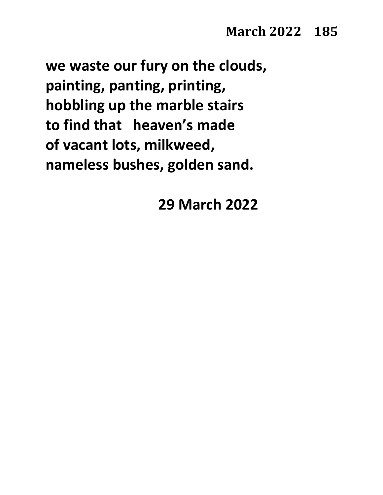**we waste our fury on the clouds, painting, panting, printing, hobbling up the marble stairs to find that heaven's made of vacant lots, milkweed, nameless bushes, golden sand.**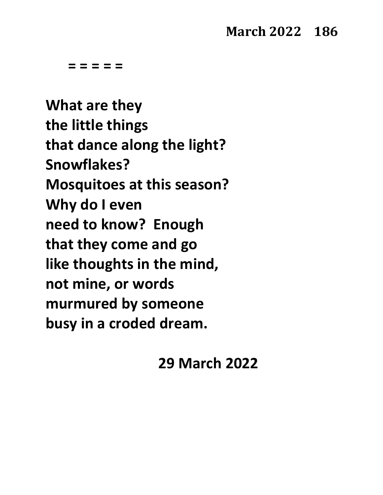**What are they the little things that dance along the light? Snowflakes? Mosquitoes at this season? Why do I even need to know? Enough that they come and go like thoughts in the mind, not mine, or words murmured by someone busy in a croded dream.**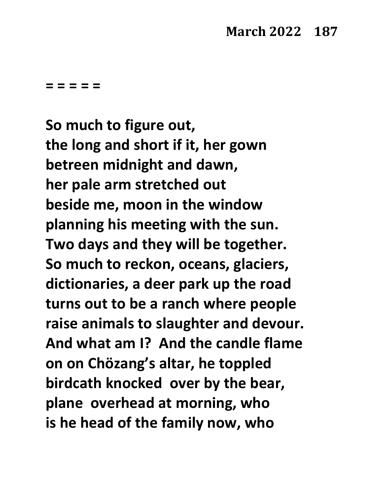**So much to figure out, the long and short if it, her gown betreen midnight and dawn, her pale arm stretched out beside me, moon in the window planning his meeting with the sun. Two days and they will be together. So much to reckon, oceans, glaciers, dictionaries, a deer park up the road turns out to be a ranch where people raise animals to slaughter and devour. And what am I? And the candle flame on on Chözang's altar, he toppled birdcath knocked over by the bear, plane overhead at morning, who is he head of the family now, who**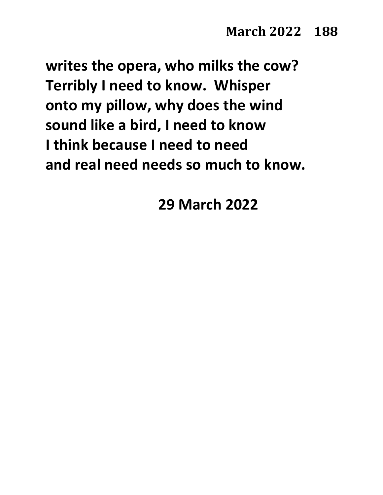**writes the opera, who milks the cow? Terribly I need to know. Whisper onto my pillow, why does the wind sound like a bird, I need to know I think because I need to need and real need needs so much to know.**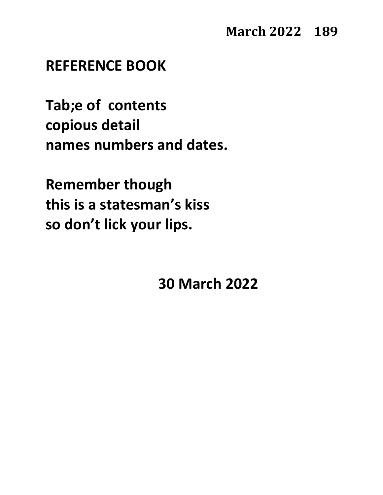### **REFERENCE BOOK**

**Tab;e of contents copious detail names numbers and dates.**

**Remember though this is a statesman's kiss so don't lick your lips.**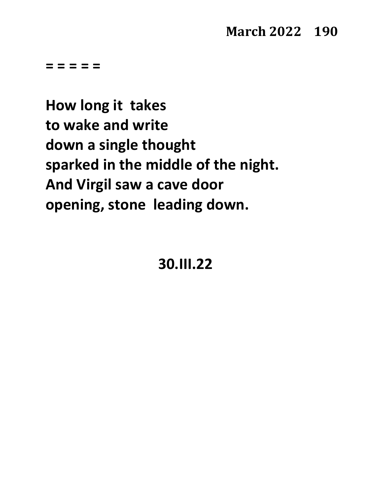**How long it takes to wake and write down a single thought sparked in the middle of the night. And Virgil saw a cave door opening, stone leading down.**

**30.III.22**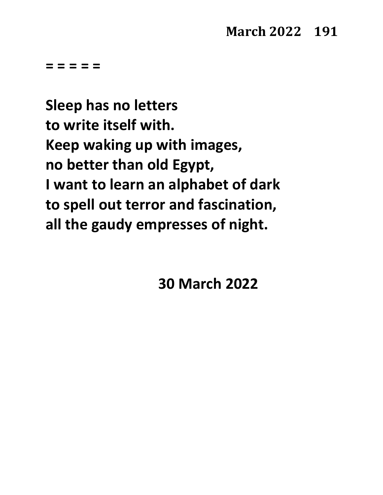**Sleep has no letters to write itself with. Keep waking up with images, no better than old Egypt, I want to learn an alphabet of dark to spell out terror and fascination, all the gaudy empresses of night.**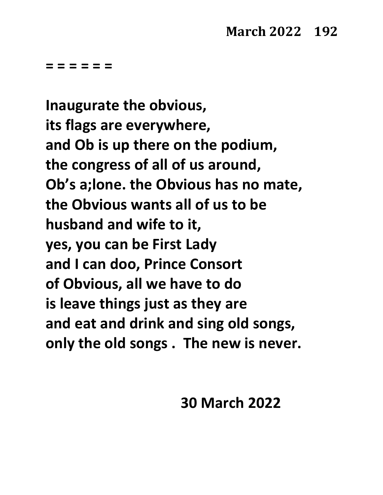**= = = = = =**

**Inaugurate the obvious, its flags are everywhere, and Ob is up there on the podium, the congress of all of us around, Ob's a;lone. the Obvious has no mate, the Obvious wants all of us to be husband and wife to it, yes, you can be First Lady and I can doo, Prince Consort of Obvious, all we have to do is leave things just as they are and eat and drink and sing old songs, only the old songs . The new is never.**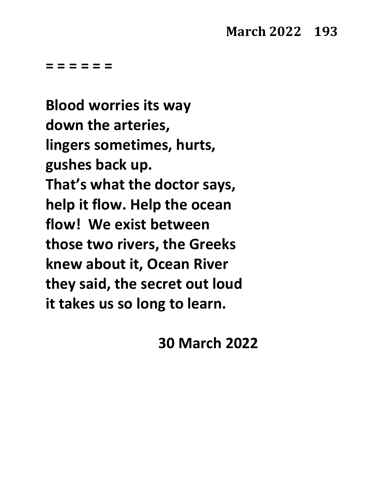**= = = = = =**

**Blood worries its way down the arteries, lingers sometimes, hurts, gushes back up. That's what the doctor says, help it flow. Help the ocean flow! We exist between those two rivers, the Greeks knew about it, Ocean River they said, the secret out loud it takes us so long to learn.**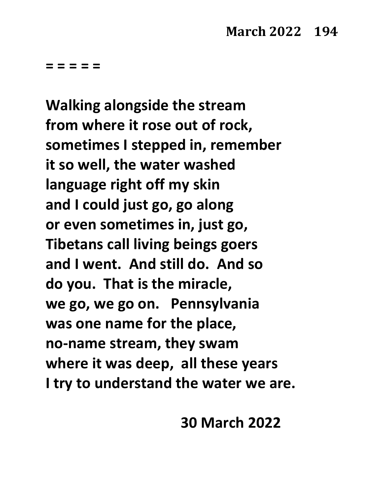**Walking alongside the stream from where it rose out of rock, sometimes I stepped in, remember it so well, the water washed language right off my skin and I could just go, go along or even sometimes in, just go, Tibetans call living beings goers and I went. And still do. And so do you. That is the miracle, we go, we go on. Pennsylvania was one name for the place, no-name stream, they swam where it was deep, all these years I try to understand the water we are.**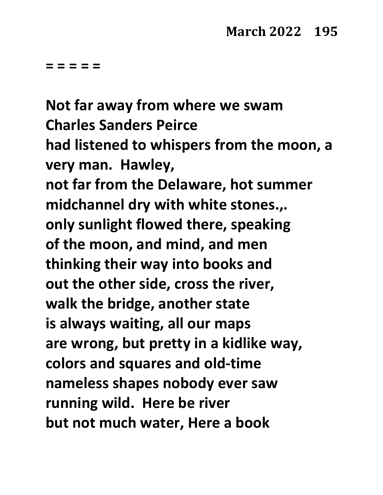**Not far away from where we swam Charles Sanders Peirce had listened to whispers from the moon, a very man. Hawley, not far from the Delaware, hot summer midchannel dry with white stones.,. only sunlight flowed there, speaking of the moon, and mind, and men thinking their way into books and out the other side, cross the river, walk the bridge, another state is always waiting, all our maps are wrong, but pretty in a kidlike way, colors and squares and old-time nameless shapes nobody ever saw running wild. Here be river but not much water, Here a book**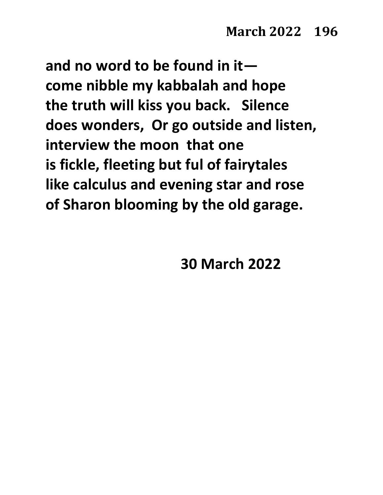**and no word to be found in it come nibble my kabbalah and hope the truth will kiss you back. Silence does wonders, Or go outside and listen, interview the moon that one is fickle, fleeting but ful of fairytales like calculus and evening star and rose of Sharon blooming by the old garage.**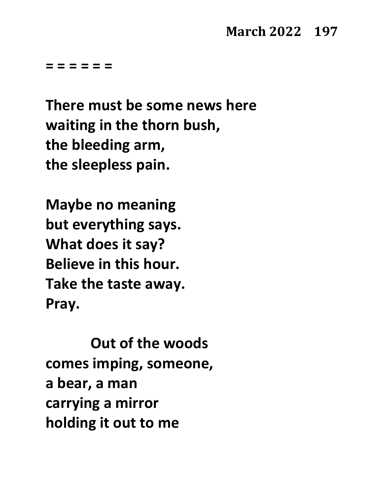# **March 2022 197**

**= = = = = =**

**There must be some news here waiting in the thorn bush, the bleeding arm, the sleepless pain.**

**Maybe no meaning but everything says. What does it say? Believe in this hour. Take the taste away. Pray.** 

**Out of the woods comes imping, someone, a bear, a man carrying a mirror holding it out to me**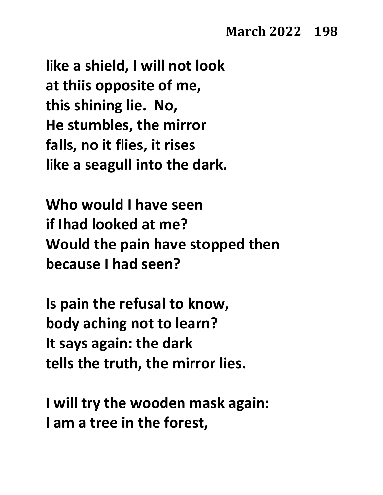**like a shield, I will not look at thiis opposite of me, this shining lie. No, He stumbles, the mirror falls, no it flies, it rises like a seagull into the dark.**

**Who would I have seen if Ihad looked at me? Would the pain have stopped then because I had seen?**

**Is pain the refusal to know, body aching not to learn? It says again: the dark tells the truth, the mirror lies.**

**I will try the wooden mask again: I am a tree in the forest,**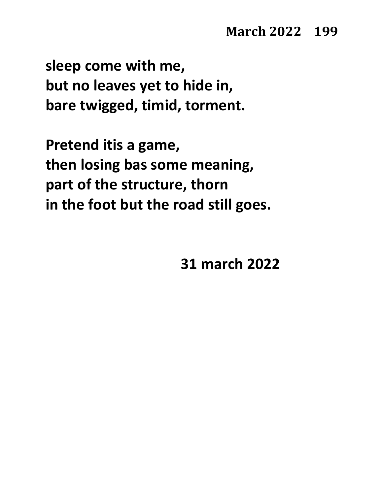**sleep come with me, but no leaves yet to hide in, bare twigged, timid, torment.**

**Pretend itis a game, then losing bas some meaning, part of the structure, thorn in the foot but the road still goes.**

**31 march 2022**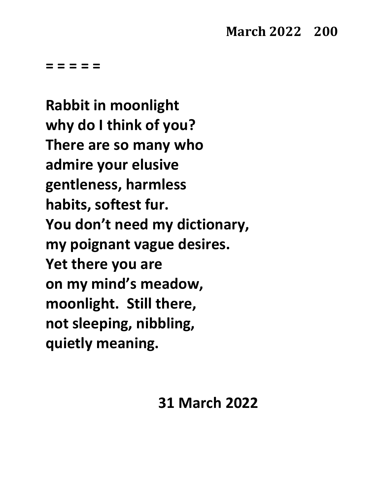**Rabbit in moonlight why do I think of you? There are so many who admire your elusive gentleness, harmless habits, softest fur. You don't need my dictionary, my poignant vague desires. Yet there you are on my mind's meadow, moonlight. Still there, not sleeping, nibbling, quietly meaning.**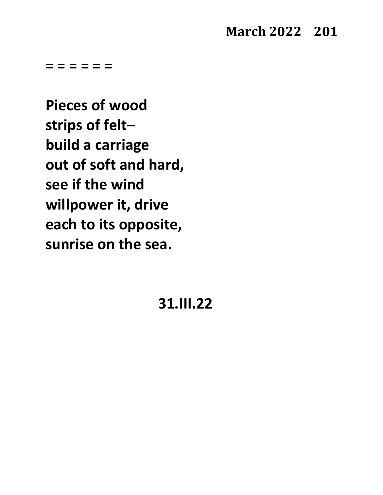### **March 2022 201**

**= = = = = =**

**Pieces of wood strips of felt– build a carriage out of soft and hard, see if the wind willpower it, drive each to its opposite, sunrise on the sea.**

**31.III.22**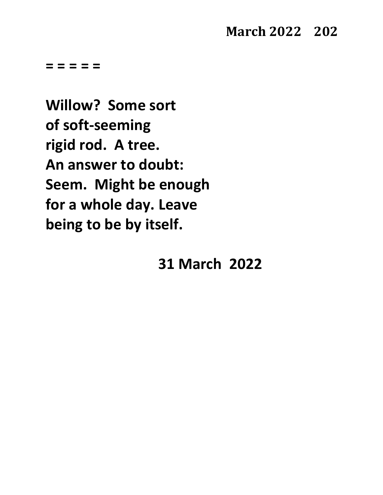**Willow? Some sort of soft-seeming rigid rod. A tree. An answer to doubt: Seem. Might be enough for a whole day. Leave being to be by itself.**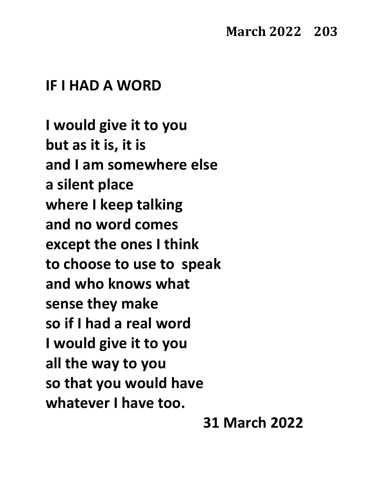#### **IF I HAD A WORD**

**I would give it to you but as it is, it is and I am somewhere else a silent place where I keep talking and no word comes except the ones I think to choose to use to speak and who knows what sense they make so if I had a real word I would give it to you all the way to you so that you would have whatever I have too.**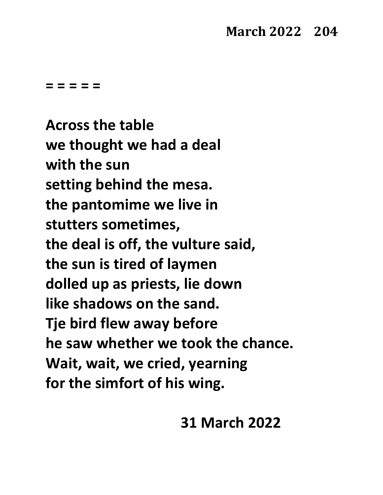# **March 2022 204**

**= = = = =**

**Across the table we thought we had a deal with the sun setting behind the mesa. the pantomime we live in stutters sometimes, the deal is off, the vulture said, the sun is tired of laymen dolled up as priests, lie down like shadows on the sand. Tje bird flew away before he saw whether we took the chance. Wait, wait, we cried, yearning for the simfort of his wing.**